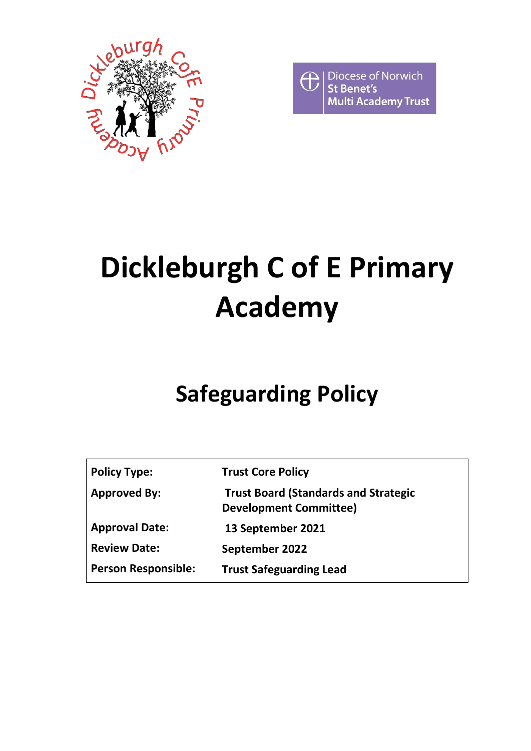



# **Dickleburgh C of E Primary Academy**

# **Safeguarding Policy**

| <b>Policy Type:</b>        | <b>Trust Core Policy</b>                                                     |
|----------------------------|------------------------------------------------------------------------------|
| <b>Approved By:</b>        | <b>Trust Board (Standards and Strategic</b><br><b>Development Committee)</b> |
| <b>Approval Date:</b>      | 13 September 2021                                                            |
| <b>Review Date:</b>        | September 2022                                                               |
| <b>Person Responsible:</b> | <b>Trust Safeguarding Lead</b>                                               |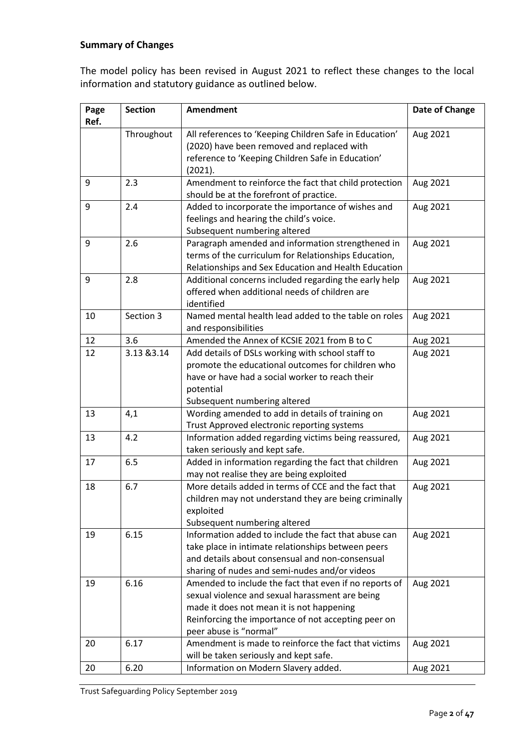#### **Summary of Changes**

The model policy has been revised in August 2021 to reflect these changes to the local information and statutory guidance as outlined below.

| Page | <b>Section</b> | <b>Amendment</b>                                                                                              | Date of Change |
|------|----------------|---------------------------------------------------------------------------------------------------------------|----------------|
| Ref. |                |                                                                                                               |                |
|      | Throughout     | All references to 'Keeping Children Safe in Education'                                                        | Aug 2021       |
|      |                | (2020) have been removed and replaced with                                                                    |                |
|      |                | reference to 'Keeping Children Safe in Education'                                                             |                |
|      |                | (2021).                                                                                                       |                |
| 9    | 2.3            | Amendment to reinforce the fact that child protection                                                         | Aug 2021       |
|      |                | should be at the forefront of practice.                                                                       |                |
| 9    | 2.4            | Added to incorporate the importance of wishes and                                                             | Aug 2021       |
|      |                | feelings and hearing the child's voice.                                                                       |                |
|      |                | Subsequent numbering altered                                                                                  |                |
| 9    | 2.6            | Paragraph amended and information strengthened in                                                             | Aug 2021       |
|      |                | terms of the curriculum for Relationships Education,                                                          |                |
| 9    | 2.8            | Relationships and Sex Education and Health Education<br>Additional concerns included regarding the early help | Aug 2021       |
|      |                | offered when additional needs of children are                                                                 |                |
|      |                | identified                                                                                                    |                |
| 10   | Section 3      | Named mental health lead added to the table on roles                                                          | Aug 2021       |
|      |                | and responsibilities                                                                                          |                |
| 12   | 3.6            | Amended the Annex of KCSIE 2021 from B to C                                                                   | Aug 2021       |
| 12   | 3.13 & 3.14    | Add details of DSLs working with school staff to                                                              | Aug 2021       |
|      |                | promote the educational outcomes for children who                                                             |                |
|      |                | have or have had a social worker to reach their                                                               |                |
|      |                | potential                                                                                                     |                |
|      |                | Subsequent numbering altered                                                                                  |                |
| 13   | 4,1            | Wording amended to add in details of training on                                                              | Aug 2021       |
|      |                | Trust Approved electronic reporting systems                                                                   |                |
| 13   | 4.2            | Information added regarding victims being reassured,                                                          | Aug 2021       |
|      |                | taken seriously and kept safe.                                                                                |                |
| 17   | 6.5            | Added in information regarding the fact that children                                                         | Aug 2021       |
|      |                | may not realise they are being exploited                                                                      |                |
| 18   | 6.7            | More details added in terms of CCE and the fact that                                                          | Aug 2021       |
|      |                | children may not understand they are being criminally                                                         |                |
|      |                | exploited                                                                                                     |                |
|      |                | Subsequent numbering altered                                                                                  |                |
| 19   | 6.15           | Information added to include the fact that abuse can                                                          | Aug 2021       |
|      |                | take place in intimate relationships between peers                                                            |                |
|      |                | and details about consensual and non-consensual<br>sharing of nudes and semi-nudes and/or videos              |                |
| 19   | 6.16           | Amended to include the fact that even if no reports of                                                        | Aug 2021       |
|      |                | sexual violence and sexual harassment are being                                                               |                |
|      |                | made it does not mean it is not happening                                                                     |                |
|      |                | Reinforcing the importance of not accepting peer on                                                           |                |
|      |                | peer abuse is "normal"                                                                                        |                |
| 20   | 6.17           | Amendment is made to reinforce the fact that victims                                                          | Aug 2021       |
|      |                | will be taken seriously and kept safe.                                                                        |                |
| 20   | 6.20           | Information on Modern Slavery added.                                                                          | Aug 2021       |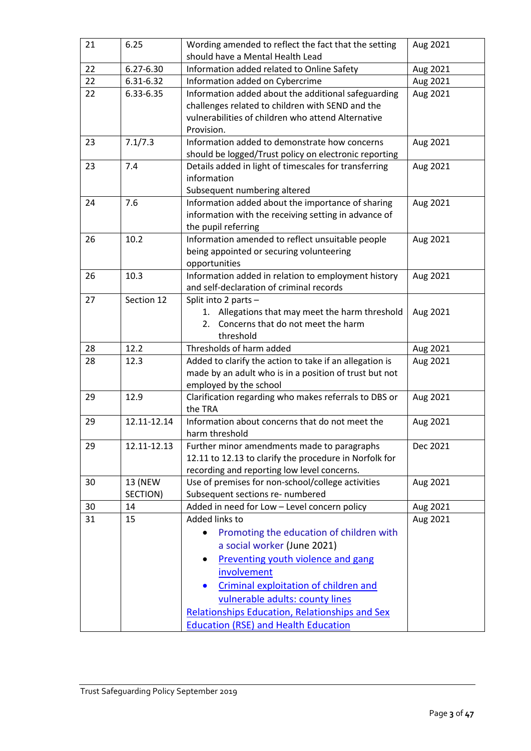| 21 | 6.25        | Wording amended to reflect the fact that the setting                                        | Aug 2021 |
|----|-------------|---------------------------------------------------------------------------------------------|----------|
|    |             | should have a Mental Health Lead                                                            |          |
| 22 | 6.27-6.30   | Information added related to Online Safety                                                  | Aug 2021 |
| 22 | 6.31-6.32   | Information added on Cybercrime                                                             | Aug 2021 |
| 22 | 6.33-6.35   | Information added about the additional safeguarding                                         | Aug 2021 |
|    |             | challenges related to children with SEND and the                                            |          |
|    |             | vulnerabilities of children who attend Alternative                                          |          |
|    |             | Provision.                                                                                  |          |
| 23 | 7.1/7.3     | Information added to demonstrate how concerns                                               | Aug 2021 |
|    |             | should be logged/Trust policy on electronic reporting                                       |          |
| 23 | 7.4         | Details added in light of timescales for transferring                                       | Aug 2021 |
|    |             | information                                                                                 |          |
|    |             | Subsequent numbering altered                                                                |          |
| 24 | 7.6         | Information added about the importance of sharing                                           | Aug 2021 |
|    |             | information with the receiving setting in advance of                                        |          |
|    |             | the pupil referring                                                                         |          |
| 26 | 10.2        | Information amended to reflect unsuitable people                                            | Aug 2021 |
|    |             | being appointed or securing volunteering                                                    |          |
|    |             | opportunities                                                                               |          |
| 26 | 10.3        | Information added in relation to employment history                                         | Aug 2021 |
|    |             | and self-declaration of criminal records                                                    |          |
| 27 | Section 12  | Split into 2 parts -                                                                        |          |
|    |             | 1. Allegations that may meet the harm threshold<br>Concerns that do not meet the harm<br>2. | Aug 2021 |
|    |             | threshold                                                                                   |          |
| 28 | 12.2        | Thresholds of harm added                                                                    | Aug 2021 |
| 28 | 12.3        | Added to clarify the action to take if an allegation is                                     | Aug 2021 |
|    |             | made by an adult who is in a position of trust but not                                      |          |
|    |             | employed by the school                                                                      |          |
| 29 | 12.9        | Clarification regarding who makes referrals to DBS or                                       | Aug 2021 |
|    |             | the TRA                                                                                     |          |
| 29 | 12.11-12.14 | Information about concerns that do not meet the                                             | Aug 2021 |
|    |             | harm threshold                                                                              |          |
| 29 | 12.11-12.13 | Further minor amendments made to paragraphs                                                 | Dec 2021 |
|    |             | 12.11 to 12.13 to clarify the procedure in Norfolk for                                      |          |
|    |             | recording and reporting low level concerns.                                                 |          |
| 30 | 13 (NEW     | Use of premises for non-school/college activities                                           | Aug 2021 |
|    | SECTION)    | Subsequent sections re- numbered                                                            |          |
| 30 | 14          | Added in need for Low - Level concern policy                                                | Aug 2021 |
| 31 | 15          | Added links to                                                                              | Aug 2021 |
|    |             | Promoting the education of children with<br>$\bullet$                                       |          |
|    |             | a social worker (June 2021)                                                                 |          |
|    |             | Preventing youth violence and gang                                                          |          |
|    |             | involvement                                                                                 |          |
|    |             | Criminal exploitation of children and                                                       |          |
|    |             | vulnerable adults: county lines                                                             |          |
|    |             | <b>Relationships Education, Relationships and Sex</b>                                       |          |
|    |             | <b>Education (RSE) and Health Education</b>                                                 |          |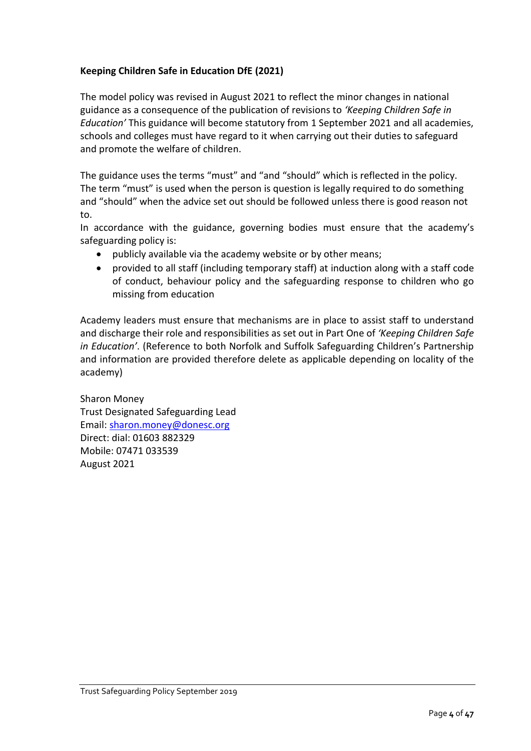#### **Keeping Children Safe in Education DfE (2021)**

The model policy was revised in August 2021 to reflect the minor changes in national guidance as a consequence of the publication of revisions to *'Keeping Children Safe in Education'* This guidance will become statutory from 1 September 2021 and all academies, schools and colleges must have regard to it when carrying out their duties to safeguard and promote the welfare of children.

The guidance uses the terms "must" and "and "should" which is reflected in the policy. The term "must" is used when the person is question is legally required to do something and "should" when the advice set out should be followed unless there is good reason not to.

In accordance with the guidance, governing bodies must ensure that the academy's safeguarding policy is:

- publicly available via the academy website or by other means;
- provided to all staff (including temporary staff) at induction along with a staff code of conduct, behaviour policy and the safeguarding response to children who go missing from education

Academy leaders must ensure that mechanisms are in place to assist staff to understand and discharge their role and responsibilities as set out in Part One of *'Keeping Children Safe in Education'*. (Reference to both Norfolk and Suffolk Safeguarding Children's Partnership and information are provided therefore delete as applicable depending on locality of the academy)

Sharon Money Trust Designated Safeguarding Lead Email: [sharon.money@donesc.org](mailto:sharon.money@dneat.org) Direct: dial: 01603 882329 Mobile: 07471 033539 August 2021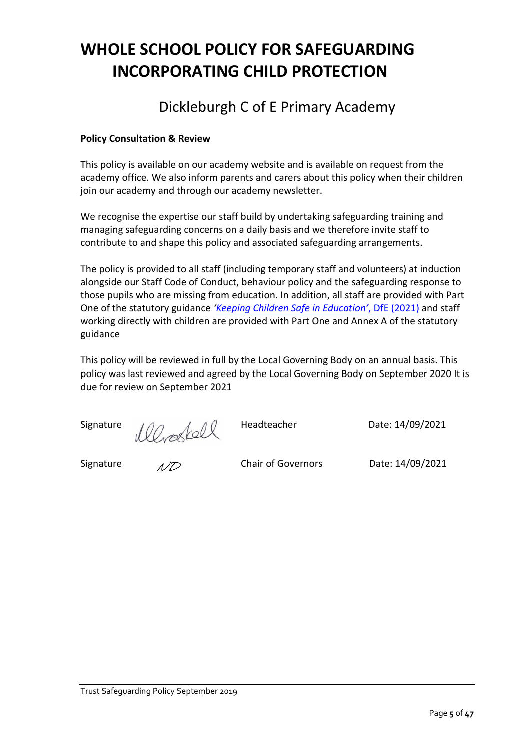## **WHOLE SCHOOL POLICY FOR SAFEGUARDING INCORPORATING CHILD PROTECTION**

### Dickleburgh C of E Primary Academy

#### **Policy Consultation & Review**

This policy is available on our academy website and is available on request from the academy office. We also inform parents and carers about this policy when their children join our academy and through our academy newsletter.

We recognise the expertise our staff build by undertaking safeguarding training and managing safeguarding concerns on a daily basis and we therefore invite staff to contribute to and shape this policy and associated safeguarding arrangements.

The policy is provided to all staff (including temporary staff and volunteers) at induction alongside our Staff Code of Conduct, behaviour policy and the safeguarding response to those pupils who are missing from education. In addition, all staff are provided with Part One of the statutory guidance *'[Keeping Children Safe in Educatio](https://assets.publishing.service.gov.uk/government/uploads/system/uploads/attachment_data/file/811513/DRAFT_Keeping_children_safe_in_education_2019.pdf)n'*, DfE (2021) and staff working directly with children are provided with Part One and Annex A of the statutory guidance

This policy will be reviewed in full by the Local Governing Body on an annual basis. This policy was last reviewed and agreed by the Local Governing Body on September 2020 It is due for review on September 2021

Signature *Illes* Kell Headteacher Date: 14/09/2021

Signature  $\sqrt{2}$  Chair of Governors Date: 14/09/2021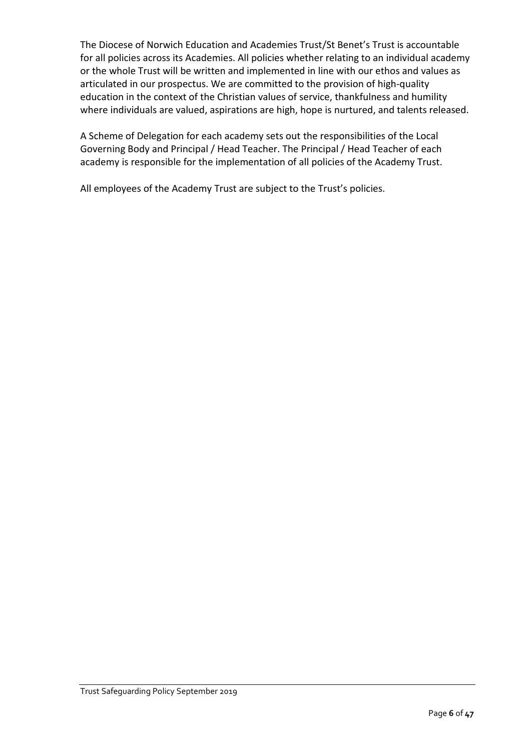The Diocese of Norwich Education and Academies Trust/St Benet's Trust is accountable for all policies across its Academies. All policies whether relating to an individual academy or the whole Trust will be written and implemented in line with our ethos and values as articulated in our prospectus. We are committed to the provision of high-quality education in the context of the Christian values of service, thankfulness and humility where individuals are valued, aspirations are high, hope is nurtured, and talents released.

A Scheme of Delegation for each academy sets out the responsibilities of the Local Governing Body and Principal / Head Teacher. The Principal / Head Teacher of each academy is responsible for the implementation of all policies of the Academy Trust.

All employees of the Academy Trust are subject to the Trust's policies.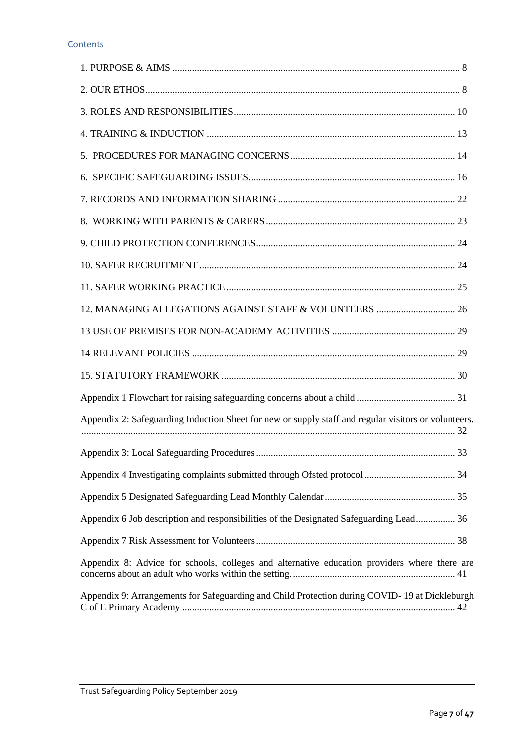#### **Contents**

| Appendix 2: Safeguarding Induction Sheet for new or supply staff and regular visitors or volunteers. |  |
|------------------------------------------------------------------------------------------------------|--|
|                                                                                                      |  |
|                                                                                                      |  |
|                                                                                                      |  |
| Appendix 6 Job description and responsibilities of the Designated Safeguarding Lead 36               |  |
|                                                                                                      |  |
| Appendix 8: Advice for schools, colleges and alternative education providers where there are         |  |
| Appendix 9: Arrangements for Safeguarding and Child Protection during COVID-19 at Dickleburgh        |  |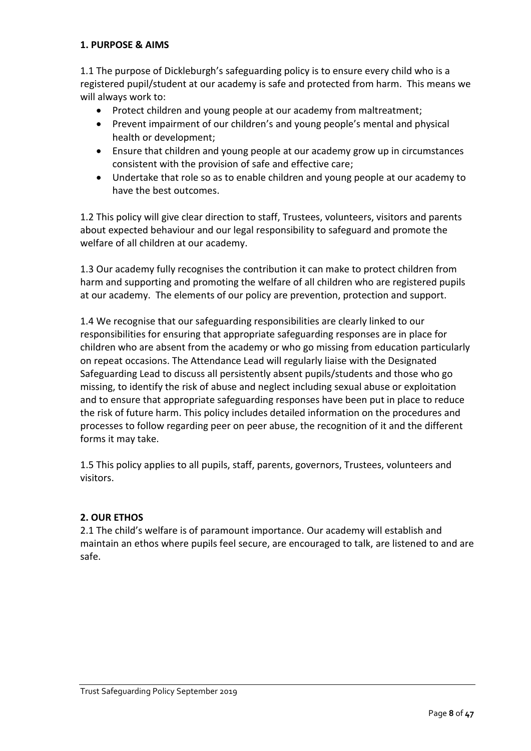#### <span id="page-7-0"></span>**1. PURPOSE & AIMS**

1.1 The purpose of Dickleburgh's safeguarding policy is to ensure every child who is a registered pupil/student at our academy is safe and protected from harm. This means we will always work to:

- Protect children and young people at our academy from maltreatment;
- Prevent impairment of our children's and young people's mental and physical health or development;
- Ensure that children and young people at our academy grow up in circumstances consistent with the provision of safe and effective care;
- Undertake that role so as to enable children and young people at our academy to have the best outcomes.

1.2 This policy will give clear direction to staff, Trustees, volunteers, visitors and parents about expected behaviour and our legal responsibility to safeguard and promote the welfare of all children at our academy.

1.3 Our academy fully recognises the contribution it can make to protect children from harm and supporting and promoting the welfare of all children who are registered pupils at our academy. The elements of our policy are prevention, protection and support.

1.4 We recognise that our safeguarding responsibilities are clearly linked to our responsibilities for ensuring that appropriate safeguarding responses are in place for children who are absent from the academy or who go missing from education particularly on repeat occasions. The Attendance Lead will regularly liaise with the Designated Safeguarding Lead to discuss all persistently absent pupils/students and those who go missing, to identify the risk of abuse and neglect including sexual abuse or exploitation and to ensure that appropriate safeguarding responses have been put in place to reduce the risk of future harm. This policy includes detailed information on the procedures and processes to follow regarding peer on peer abuse, the recognition of it and the different forms it may take.

1.5 This policy applies to all pupils, staff, parents, governors, Trustees, volunteers and visitors.

#### <span id="page-7-1"></span>**2. OUR ETHOS**

2.1 The child's welfare is of paramount importance. Our academy will establish and maintain an ethos where pupils feel secure, are encouraged to talk, are listened to and are safe.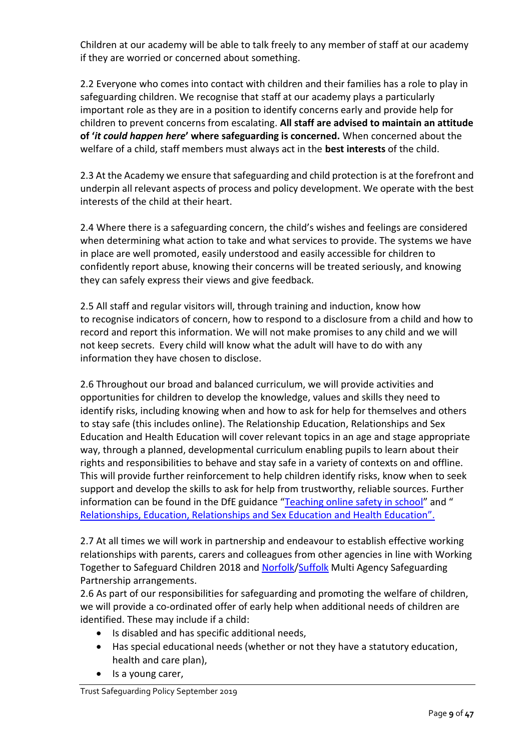Children at our academy will be able to talk freely to any member of staff at our academy if they are worried or concerned about something.

2.2 Everyone who comes into contact with children and their families has a role to play in safeguarding children. We recognise that staff at our academy plays a particularly important role as they are in a position to identify concerns early and provide help for children to prevent concerns from escalating. **All staff are advised to maintain an attitude of '***it could happen here***' where safeguarding is concerned.** When concerned about the welfare of a child, staff members must always act in the **best interests** of the child.

2.3 At the Academy we ensure that safeguarding and child protection is at the forefront and underpin all relevant aspects of process and policy development. We operate with the best interests of the child at their heart.

2.4 Where there is a safeguarding concern, the child's wishes and feelings are considered when determining what action to take and what services to provide. The systems we have in place are well promoted, easily understood and easily accessible for children to confidently report abuse, knowing their concerns will be treated seriously, and knowing they can safely express their views and give feedback.

2.5 All staff and regular visitors will, through training and induction, know how to recognise indicators of concern, how to respond to a disclosure from a child and how to record and report this information. We will not make promises to any child and we will not keep secrets. Every child will know what the adult will have to do with any information they have chosen to disclose.

2.6 Throughout our broad and balanced curriculum, we will provide activities and opportunities for children to develop the knowledge, values and skills they need to identify risks, including knowing when and how to ask for help for themselves and others to stay safe (this includes online). The Relationship Education, Relationships and Sex Education and Health Education will cover relevant topics in an age and stage appropriate way, through a planned, developmental curriculum enabling pupils to learn about their rights and responsibilities to behave and stay safe in a variety of contexts on and offline. This will provide further reinforcement to help children identify risks, know when to seek support and develop the skills to ask for help from trustworthy, reliable sources. Further information can be found in the DfE guidance "[Teaching online safety in school](https://assets.publishing.service.gov.uk/government/uploads/system/uploads/attachment_data/file/811796/Teaching_online_safety_in_school.pdf)" and " Relationships, Education, Relationships [and Sex Education and Health Education".](https://assets.publishing.service.gov.uk/government/uploads/system/uploads/attachment_data/file/908013/Relationships_Education__Relationships_and_Sex_Education__RSE__and_Health_Education.pdf)

2.7 At all times we will work in partnership and endeavour to establish effective working relationships with parents, carers and colleagues from other agencies in line with Working Together to Safeguard Children 2018 and [Norfolk](https://www.norfolklscb.org/about/policies-procedures/policies-and-procedures/)[/Suffolk](http://www.suffolkscb.org.uk/working-with-children/policies-guidance-and-protocols/) Multi Agency Safeguarding Partnership arrangements.

2.6 As part of our responsibilities for safeguarding and promoting the welfare of children, we will provide a co-ordinated offer of early help when additional needs of children are identified. These may include if a child:

- Is disabled and has specific additional needs,
- Has special educational needs (whether or not they have a statutory education, health and care plan),
- Is a young carer,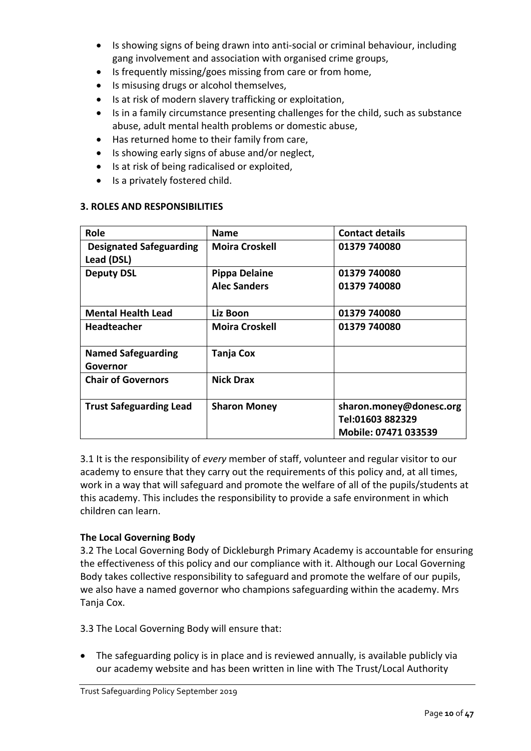- Is showing signs of being drawn into anti-social or criminal behaviour, including gang involvement and association with organised crime groups,
- Is frequently missing/goes missing from care or from home,
- Is misusing drugs or alcohol themselves,
- Is at risk of modern slavery trafficking or exploitation,
- Is in a family circumstance presenting challenges for the child, such as substance abuse, adult mental health problems or domestic abuse,
- Has returned home to their family from care,
- Is showing early signs of abuse and/or neglect,
- Is at risk of being radicalised or exploited,
- Is a privately fostered child.

#### <span id="page-9-0"></span>**3. ROLES AND RESPONSIBILITIES**

| <b>Role</b>                                  | <b>Name</b>           | <b>Contact details</b>                                              |
|----------------------------------------------|-----------------------|---------------------------------------------------------------------|
| <b>Designated Safeguarding</b><br>Lead (DSL) | <b>Moira Croskell</b> | 01379 740080                                                        |
| <b>Deputy DSL</b>                            | <b>Pippa Delaine</b>  | 01379 740080                                                        |
|                                              | <b>Alec Sanders</b>   | 01379 740080                                                        |
| <b>Mental Health Lead</b>                    | Liz Boon              | 01379 740080                                                        |
| <b>Headteacher</b>                           | <b>Moira Croskell</b> | 01379 740080                                                        |
| <b>Named Safeguarding</b><br>Governor        | <b>Tanja Cox</b>      |                                                                     |
| <b>Chair of Governors</b>                    | <b>Nick Drax</b>      |                                                                     |
| <b>Trust Safeguarding Lead</b>               | <b>Sharon Money</b>   | sharon.money@donesc.org<br>Tel:01603 882329<br>Mobile: 07471 033539 |

3.1 It is the responsibility of *every* member of staff, volunteer and regular visitor to our academy to ensure that they carry out the requirements of this policy and, at all times, work in a way that will safeguard and promote the welfare of all of the pupils/students at this academy. This includes the responsibility to provide a safe environment in which children can learn.

#### **The Local Governing Body**

3.2 The Local Governing Body of Dickleburgh Primary Academy is accountable for ensuring the effectiveness of this policy and our compliance with it. Although our Local Governing Body takes collective responsibility to safeguard and promote the welfare of our pupils, we also have a named governor who champions safeguarding within the academy. Mrs Tanja Cox.

3.3 The Local Governing Body will ensure that:

• The safeguarding policy is in place and is reviewed annually, is available publicly via our academy website and has been written in line with The Trust/Local Authority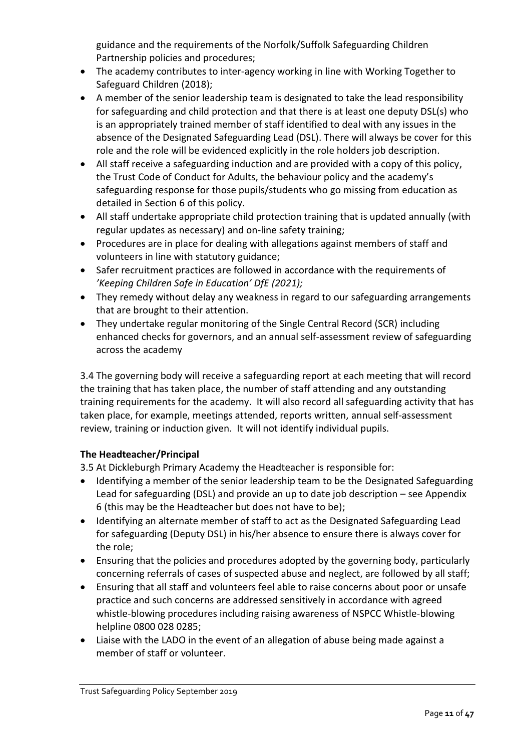guidance and the requirements of the Norfolk/Suffolk Safeguarding Children Partnership policies and procedures;

- The academy contributes to inter-agency working in line with Working Together to Safeguard Children (2018);
- A member of the senior leadership team is designated to take the lead responsibility for safeguarding and child protection and that there is at least one deputy DSL(s) who is an appropriately trained member of staff identified to deal with any issues in the absence of the Designated Safeguarding Lead (DSL). There will always be cover for this role and the role will be evidenced explicitly in the role holders job description.
- All staff receive a safeguarding induction and are provided with a copy of this policy, the Trust Code of Conduct for Adults, the behaviour policy and the academy's safeguarding response for those pupils/students who go missing from education as detailed in Section 6 of this policy.
- All staff undertake appropriate child protection training that is updated annually (with regular updates as necessary) and on-line safety training;
- Procedures are in place for dealing with allegations against members of staff and volunteers in line with statutory guidance;
- Safer recruitment practices are followed in accordance with the requirements of *'Keeping Children Safe in Education' DfE (2021);*
- They remedy without delay any weakness in regard to our safeguarding arrangements that are brought to their attention.
- They undertake regular monitoring of the Single Central Record (SCR) including enhanced checks for governors, and an annual self-assessment review of safeguarding across the academy

3.4 The governing body will receive a safeguarding report at each meeting that will record the training that has taken place, the number of staff attending and any outstanding training requirements for the academy. It will also record all safeguarding activity that has taken place, for example, meetings attended, reports written, annual self-assessment review, training or induction given. It will not identify individual pupils.

#### **The Headteacher/Principal**

3.5 At Dickleburgh Primary Academy the Headteacher is responsible for:

- Identifying a member of the senior leadership team to be the Designated Safeguarding Lead for safeguarding (DSL) and provide an up to date job description – see Appendix 6 (this may be the Headteacher but does not have to be);
- Identifying an alternate member of staff to act as the Designated Safeguarding Lead for safeguarding (Deputy DSL) in his/her absence to ensure there is always cover for the role;
- Ensuring that the policies and procedures adopted by the governing body, particularly concerning referrals of cases of suspected abuse and neglect, are followed by all staff;
- Ensuring that all staff and volunteers feel able to raise concerns about poor or unsafe practice and such concerns are addressed sensitively in accordance with agreed whistle-blowing procedures including raising awareness of NSPCC Whistle-blowing helpline 0800 028 0285;
- Liaise with the LADO in the event of an allegation of abuse being made against a member of staff or volunteer.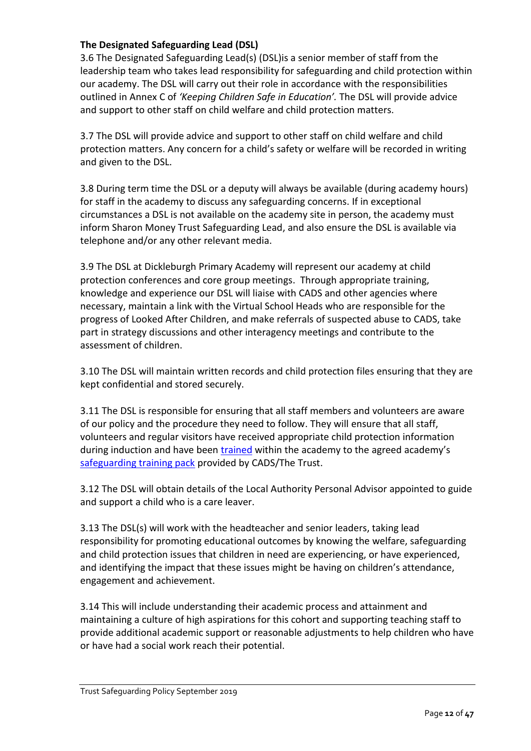#### **The Designated Safeguarding Lead (DSL)**

3.6 The Designated Safeguarding Lead(s) (DSL)is a senior member of staff from the leadership team who takes lead responsibility for safeguarding and child protection within our academy. The DSL will carry out their role in accordance with the responsibilities outlined in Annex C of *'Keeping Children Safe in Education'.* The DSL will provide advice and support to other staff on child welfare and child protection matters.

3.7 The DSL will provide advice and support to other staff on child welfare and child protection matters. Any concern for a child's safety or welfare will be recorded in writing and given to the DSL.

3.8 During term time the DSL or a deputy will always be available (during academy hours) for staff in the academy to discuss any safeguarding concerns. If in exceptional circumstances a DSL is not available on the academy site in person, the academy must inform Sharon Money Trust Safeguarding Lead, and also ensure the DSL is available via telephone and/or any other relevant media.

3.9 The DSL at Dickleburgh Primary Academy will represent our academy at child protection conferences and core group meetings. Through appropriate training, knowledge and experience our DSL will liaise with CADS and other agencies where necessary, maintain a link with the Virtual School Heads who are responsible for the progress of Looked After Children, and make referrals of suspected abuse to CADS, take part in strategy discussions and other interagency meetings and contribute to the assessment of children.

3.10 The DSL will maintain written records and child protection files ensuring that they are kept confidential and stored securely.

3.11 The DSL is responsible for ensuring that all staff members and volunteers are aware of our policy and the procedure they need to follow. They will ensure that all staff, volunteers and regular visitors have received appropriate child protection information during induction and have been [trained](http://www.schools.norfolk.gov.uk/Behaviour-and-safety/Safeguarding/Training/index.htm) within the academy to the agreed academy's [safeguarding training pack](http://www.schools.norfolk.gov.uk/behaviour-and-safety/safeguarding/training/ncc096606) provided by CADS/The Trust.

3.12 The DSL will obtain details of the Local Authority Personal Advisor appointed to guide and support a child who is a care leaver.

3.13 The DSL(s) will work with the headteacher and senior leaders, taking lead responsibility for promoting educational outcomes by knowing the welfare, safeguarding and child protection issues that children in need are experiencing, or have experienced, and identifying the impact that these issues might be having on children's attendance, engagement and achievement.

3.14 This will include understanding their academic process and attainment and maintaining a culture of high aspirations for this cohort and supporting teaching staff to provide additional academic support or reasonable adjustments to help children who have or have had a social work reach their potential.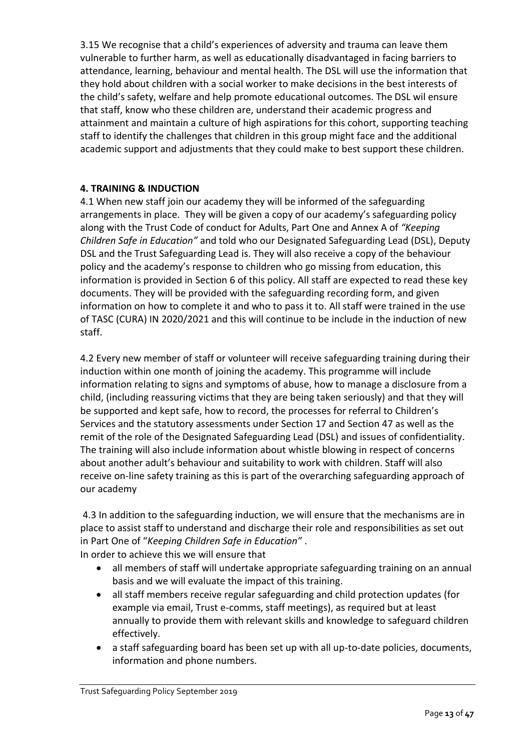3.15 We recognise that a child's experiences of adversity and trauma can leave them vulnerable to further harm, as well as educationally disadvantaged in facing barriers to attendance, learning, behaviour and mental health. The DSL will use the information that they hold about children with a social worker to make decisions in the best interests of the child's safety, welfare and help promote educational outcomes. The DSL wil ensure that staff, know who these children are, understand their academic progress and attainment and maintain a culture of high aspirations for this cohort, supporting teaching staff to identify the challenges that children in this group might face and the additional academic support and adjustments that they could make to best support these children.

#### <span id="page-12-0"></span>**4. TRAINING & INDUCTION**

4.1 When new staff join our academy they will be informed of the safeguarding arrangements in place. They will be given a copy of our academy's safeguarding policy along with the Trust Code of conduct for Adults, Part One and Annex A of *"Keeping Children Safe in Education"* and told who our Designated Safeguarding Lead (DSL), Deputy DSL and the Trust Safeguarding Lead is. They will also receive a copy of the behaviour policy and the academy's response to children who go missing from education, this information is provided in Section 6 of this policy. All staff are expected to read these key documents. They will be provided with the safeguarding recording form, and given information on how to complete it and who to pass it to. All staff were trained in the use of TASC (CURA) IN 2020/2021 and this will continue to be include in the induction of new staff.

4.2 Every new member of staff or volunteer will receive safeguarding training during their induction within one month of joining the academy. This programme will include information relating to signs and symptoms of abuse, how to manage a disclosure from a child, (including reassuring victims that they are being taken seriously) and that they will be supported and kept safe, how to record, the processes for referral to Children's Services and the statutory assessments under Section 17 and Section 47 as well as the remit of the role of the Designated Safeguarding Lead (DSL) and issues of confidentiality. The training will also include information about whistle blowing in respect of concerns about another adult's behaviour and suitability to work with children. Staff will also receive on-line safety training as this is part of the overarching safeguarding approach of our academy

4.3 In addition to the safeguarding induction, we will ensure that the mechanisms are in place to assist staff to understand and discharge their role and responsibilities as set out in Part One of "*Keeping Children Safe in Education"* .

In order to achieve this we will ensure that

- all members of staff will undertake appropriate safeguarding training on an annual basis and we will evaluate the impact of this training.
- all staff members receive regular safeguarding and child protection updates (for example via email, Trust e-comms, staff meetings), as required but at least annually to provide them with relevant skills and knowledge to safeguard children effectively.
- a staff safeguarding board has been set up with all up-to-date policies, documents, information and phone numbers.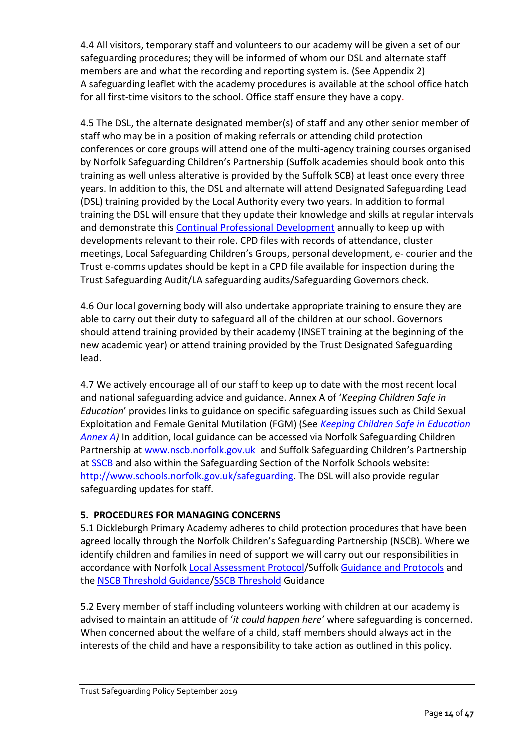4.4 All visitors, temporary staff and volunteers to our academy will be given a set of our safeguarding procedures; they will be informed of whom our DSL and alternate staff members are and what the recording and reporting system is. (See Appendix 2) A safeguarding leaflet with the academy procedures is available at the school office hatch for all first-time visitors to the school. Office staff ensure they have a copy.

4.5 The DSL, the alternate designated member(s) of staff and any other senior member of staff who may be in a position of making referrals or attending child protection conferences or core groups will attend one of the multi-agency training courses organised by Norfolk Safeguarding Children's Partnership (Suffolk academies should book onto this training as well unless alterative is provided by the Suffolk SCB) at least once every three years. In addition to this, the DSL and alternate will attend Designated Safeguarding Lead (DSL) training provided by the Local Authority every two years. In addition to formal training the DSL will ensure that they update their knowledge and skills at regular intervals and demonstrate this [Continual Professional Development](http://www.schools.norfolk.gov.uk/Behaviour-and-safety/Safeguarding/Training/index.htm) annually to keep up with developments relevant to their role. CPD files with records of attendance, cluster meetings, Local Safeguarding Children's Groups, personal development, e- courier and the Trust e-comms updates should be kept in a CPD file available for inspection during the Trust Safeguarding Audit/LA safeguarding audits/Safeguarding Governors check.

4.6 Our local governing body will also undertake appropriate training to ensure they are able to carry out their duty to safeguard all of the children at our school. Governors should attend training provided by their academy (INSET training at the beginning of the new academic year) or attend training provided by the Trust Designated Safeguarding lead.

4.7 We actively encourage all of our staff to keep up to date with the most recent local and national safeguarding advice and guidance. Annex A of '*Keeping Children Safe in Education*' provides links to guidance on specific safeguarding issues such as Child Sexual Exploitation and Female Genital Mutilation (FGM) (See *[Keeping Children Safe in](https://assets.publishing.service.gov.uk/government/uploads/system/uploads/attachment_data/file/811513/DRAFT_Keeping_children_safe_in_education_2019.pdf) Education [Annex A\)](https://assets.publishing.service.gov.uk/government/uploads/system/uploads/attachment_data/file/811513/DRAFT_Keeping_children_safe_in_education_2019.pdf)* In addition, local guidance can be accessed via Norfolk Safeguarding Children Partnership at [www.nscb.norfolk.gov.uk](http://www.nscb.norfolk.gov.uk/) and Suffolk Safeguarding Children's Partnership at [SSCB](http://www.suffolkscb.org.uk/about/lscb-leaflets-booklets-and-posters/) and also within the Safeguarding Section of the Norfolk Schools website: [http://www.schools.norfolk.gov.uk/safeguarding.](http://www.schools.norfolk.gov.uk/safeguarding) The DSL will also provide regular safeguarding updates for staff.

#### <span id="page-13-0"></span>**5. PROCEDURES FOR MANAGING CONCERNS**

5.1 Dickleburgh Primary Academy adheres to child protection procedures that have been agreed locally through the Norfolk Children's Safeguarding Partnership (NSCB). Where we identify children and families in need of support we will carry out our responsibilities in accordance with Norfolk [Local Assessment Protocol/](https://www.norfolklscb.org/about/policies-procedures/3-3-norfolk-local-assessment-protocol/)Suffolk [Guidance and Protocols](http://www.suffolkscb.org.uk/assets/Working-with-Children/Policies-Guidance-and-Protocols/Collaborative-Casework/2018-07-13-Collaborative-Casework-Protocol.pdf) and the [NSCB Threshold Guidance/](https://www.norfolklscb.org/people-working-with-children/threshold-guide/)[SSCB Threshold](http://www.suffolkscb.org.uk/assets/Working-with-Children/Policies-Guidance-and-Protocols/Thresholds-Guidance/2017-10-16-Suffolks-Threshold-of-Need-Guidance.pdf) Guidance

5.2 Every member of staff including volunteers working with children at our academy is advised to maintain an attitude of '*it could happen here'* where safeguarding is concerned. When concerned about the welfare of a child, staff members should always act in the interests of the child and have a responsibility to take action as outlined in this policy.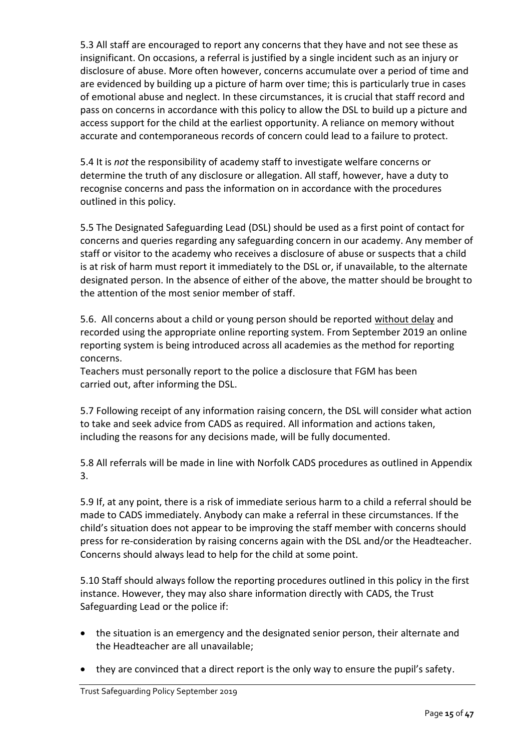5.3 All staff are encouraged to report any concerns that they have and not see these as insignificant. On occasions, a referral is justified by a single incident such as an injury or disclosure of abuse. More often however, concerns accumulate over a period of time and are evidenced by building up a picture of harm over time; this is particularly true in cases of emotional abuse and neglect. In these circumstances, it is crucial that staff record and pass on concerns in accordance with this policy to allow the DSL to build up a picture and access support for the child at the earliest opportunity. A reliance on memory without accurate and contemporaneous records of concern could lead to a failure to protect.

5.4 It is *not* the responsibility of academy staff to investigate welfare concerns or determine the truth of any disclosure or allegation. All staff, however, have a duty to recognise concerns and pass the information on in accordance with the procedures outlined in this policy.

5.5 The Designated Safeguarding Lead (DSL) should be used as a first point of contact for concerns and queries regarding any safeguarding concern in our academy. Any member of staff or visitor to the academy who receives a disclosure of abuse or suspects that a child is at risk of harm must report it immediately to the DSL or, if unavailable, to the alternate designated person. In the absence of either of the above, the matter should be brought to the attention of the most senior member of staff.

5.6. All concerns about a child or young person should be reported without delay and recorded using the appropriate online reporting system. From September 2019 an online reporting system is being introduced across all academies as the method for reporting concerns.

Teachers must personally report to the police a disclosure that FGM has been carried out, after informing the DSL.

5.7 Following receipt of any information raising concern, the DSL will consider what action to take and seek advice from CADS as required. All information and actions taken, including the reasons for any decisions made, will be fully documented.

5.8 All referrals will be made in line with Norfolk CADS procedures as outlined in Appendix 3.

5.9 If, at any point, there is a risk of immediate serious harm to a child a referral should be made to CADS immediately. Anybody can make a referral in these circumstances. If the child's situation does not appear to be improving the staff member with concerns should press for re-consideration by raising concerns again with the DSL and/or the Headteacher. Concerns should always lead to help for the child at some point.

5.10 Staff should always follow the reporting procedures outlined in this policy in the first instance. However, they may also share information directly with CADS, the Trust Safeguarding Lead or the police if:

- the situation is an emergency and the designated senior person, their alternate and the Headteacher are all unavailable;
- they are convinced that a direct report is the only way to ensure the pupil's safety.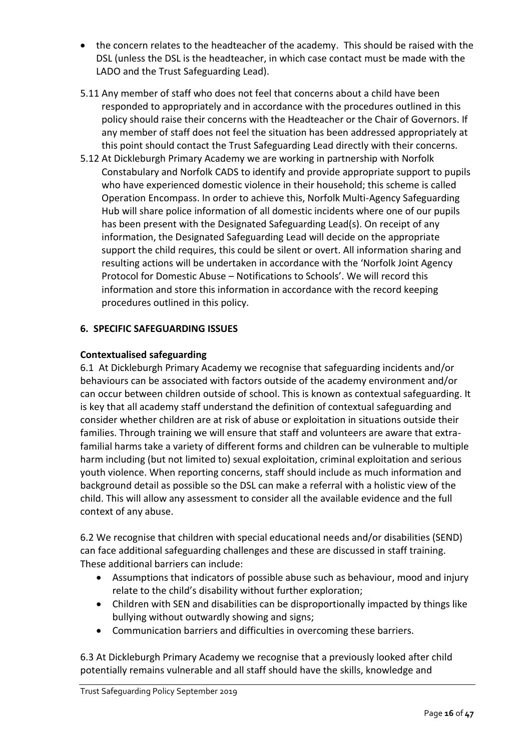- the concern relates to the headteacher of the academy. This should be raised with the DSL (unless the DSL is the headteacher, in which case contact must be made with the LADO and the Trust Safeguarding Lead).
- 5.11 Any member of staff who does not feel that concerns about a child have been responded to appropriately and in accordance with the procedures outlined in this policy should raise their concerns with the Headteacher or the Chair of Governors. If any member of staff does not feel the situation has been addressed appropriately at this point should contact the Trust Safeguarding Lead directly with their concerns.
- 5.12 At Dickleburgh Primary Academy we are working in partnership with Norfolk Constabulary and Norfolk CADS to identify and provide appropriate support to pupils who have experienced domestic violence in their household; this scheme is called Operation Encompass. In order to achieve this, Norfolk Multi-Agency Safeguarding Hub will share police information of all domestic incidents where one of our pupils has been present with the Designated Safeguarding Lead(s). On receipt of any information, the Designated Safeguarding Lead will decide on the appropriate support the child requires, this could be silent or overt. All information sharing and resulting actions will be undertaken in accordance with the 'Norfolk Joint Agency Protocol for Domestic Abuse – Notifications to Schools'. We will record this information and store this information in accordance with the record keeping procedures outlined in this policy.

#### <span id="page-15-0"></span>**6. SPECIFIC SAFEGUARDING ISSUES**

#### **Contextualised safeguarding**

6.1 At Dickleburgh Primary Academy we recognise that safeguarding incidents and/or behaviours can be associated with factors outside of the academy environment and/or can occur between children outside of school. This is known as contextual safeguarding. It is key that all academy staff understand the definition of contextual safeguarding and consider whether children are at risk of abuse or exploitation in situations outside their families. Through training we will ensure that staff and volunteers are aware that extrafamilial harms take a variety of different forms and children can be vulnerable to multiple harm including (but not limited to) sexual exploitation, criminal exploitation and serious youth violence. When reporting concerns, staff should include as much information and background detail as possible so the DSL can make a referral with a holistic view of the child. This will allow any assessment to consider all the available evidence and the full context of any abuse.

6.2 We recognise that children with special educational needs and/or disabilities (SEND) can face additional safeguarding challenges and these are discussed in staff training. These additional barriers can include:

- Assumptions that indicators of possible abuse such as behaviour, mood and injury relate to the child's disability without further exploration;
- Children with SEN and disabilities can be disproportionally impacted by things like bullying without outwardly showing and signs;
- Communication barriers and difficulties in overcoming these barriers.

6.3 At Dickleburgh Primary Academy we recognise that a previously looked after child potentially remains vulnerable and all staff should have the skills, knowledge and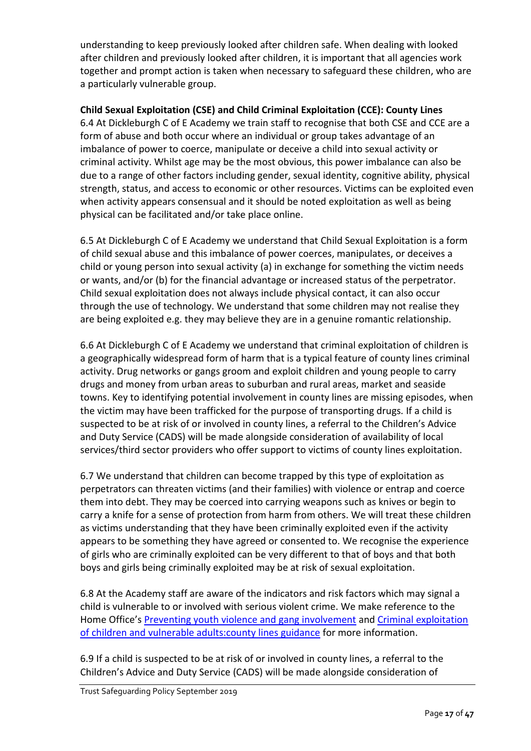understanding to keep previously looked after children safe. When dealing with looked after children and previously looked after children, it is important that all agencies work together and prompt action is taken when necessary to safeguard these children, who are a particularly vulnerable group.

#### **Child Sexual Exploitation (CSE) and Child Criminal Exploitation (CCE): County Lines** 6.4 At Dickleburgh C of E Academy we train staff to recognise that both CSE and CCE are a

form of abuse and both occur where an individual or group takes advantage of an imbalance of power to coerce, manipulate or deceive a child into sexual activity or criminal activity. Whilst age may be the most obvious, this power imbalance can also be due to a range of other factors including gender, sexual identity, cognitive ability, physical strength, status, and access to economic or other resources. Victims can be exploited even when activity appears consensual and it should be noted exploitation as well as being physical can be facilitated and/or take place online.

6.5 At Dickleburgh C of E Academy we understand that Child Sexual Exploitation is a form of child sexual abuse and this imbalance of power coerces, manipulates, or deceives a child or young person into sexual activity (a) in exchange for something the victim needs or wants, and/or (b) for the financial advantage or increased status of the perpetrator. Child sexual exploitation does not always include physical contact, it can also occur through the use of technology. We understand that some children may not realise they are being exploited e.g. they may believe they are in a genuine romantic relationship.

6.6 At Dickleburgh C of E Academy we understand that criminal exploitation of children is a geographically widespread form of harm that is a typical feature of county lines criminal activity. Drug networks or gangs groom and exploit children and young people to carry drugs and money from urban areas to suburban and rural areas, market and seaside towns. Key to identifying potential involvement in county lines are missing episodes, when the victim may have been trafficked for the purpose of transporting drugs. If a child is suspected to be at risk of or involved in county lines, a referral to the Children's Advice and Duty Service (CADS) will be made alongside consideration of availability of local services/third sector providers who offer support to victims of county lines exploitation.

6.7 We understand that children can become trapped by this type of exploitation as perpetrators can threaten victims (and their families) with violence or entrap and coerce them into debt. They may be coerced into carrying weapons such as knives or begin to carry a knife for a sense of protection from harm from others. We will treat these children as victims understanding that they have been criminally exploited even if the activity appears to be something they have agreed or consented to. We recognise the experience of girls who are criminally exploited can be very different to that of boys and that both boys and girls being criminally exploited may be at risk of sexual exploitation.

6.8 At the Academy staff are aware of the indicators and risk factors which may signal a child is vulnerable to or involved with serious violent crime. We make reference to the Home Office's [Preventing youth violence and gang involvement](https://assets.publishing.service.gov.uk/government/uploads/system/uploads/attachment_data/file/418131/Preventing_youth_violence_and_gang_involvement_v3_March2015.pdf) and [Criminal exploitation](https://www.gov.uk/government/publications/criminal-exploitation-of-children-and-vulnerable-adults-county-lines)  [of children and vulnerable adults:county lines guidance](https://www.gov.uk/government/publications/criminal-exploitation-of-children-and-vulnerable-adults-county-lines) for more information.

6.9 If a child is suspected to be at risk of or involved in county lines, a referral to the Children's Advice and Duty Service (CADS) will be made alongside consideration of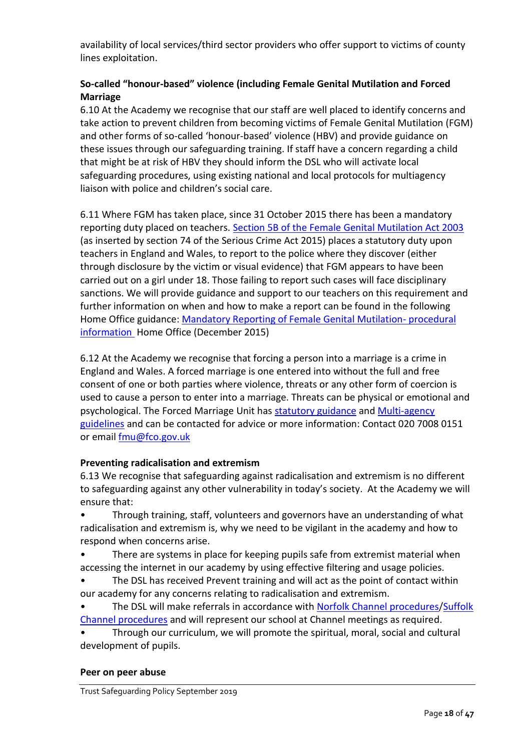availability of local services/third sector providers who offer support to victims of county lines exploitation.

#### **So-called "honour-based" violence (including Female Genital Mutilation and Forced Marriage**

6.10 At the Academy we recognise that our staff are well placed to identify concerns and take action to prevent children from becoming victims of Female Genital Mutilation (FGM) and other forms of so-called 'honour-based' violence (HBV) and provide guidance on these issues through our safeguarding training. If staff have a concern regarding a child that might be at risk of HBV they should inform the DSL who will activate local safeguarding procedures, using existing national and local protocols for multiagency liaison with police and children's social care.

6.11 Where FGM has taken place, since 31 October 2015 there has been a mandatory reporting duty placed on teachers. [Section 5B of the Female Genital Mutilation Act 2003](https://www.legislation.gov.uk/ukpga/2003/31/section/5B) (as inserted by section 74 of the Serious Crime Act 2015) places a statutory duty upon teachers in England and Wales, to report to the police where they discover (either through disclosure by the victim or visual evidence) that FGM appears to have been carried out on a girl under 18. Those failing to report such cases will face disciplinary sanctions. We will provide guidance and support to our teachers on this requirement and further information on when and how to make a report can be found in the following Home Office guidance: [Mandatory Reporting of Female Genital Mutilation-](https://assets.publishing.service.gov.uk/government/uploads/system/uploads/attachment_data/file/573782/FGM_Mandatory_Reporting_-_procedural_information_nov16_FINAL.pdf) procedural [information](https://assets.publishing.service.gov.uk/government/uploads/system/uploads/attachment_data/file/573782/FGM_Mandatory_Reporting_-_procedural_information_nov16_FINAL.pdf) Home Office (December 2015)

6.12 At the Academy we recognise that forcing a person into a marriage is a crime in England and Wales. A forced marriage is one entered into without the full and free consent of one or both parties where violence, threats or any other form of coercion is used to cause a person to enter into a marriage. Threats can be physical or emotional and psychological. The Forced Marriage Unit has [statutory guidance](https://www.gov.uk/guidance/forced-marriage) and [Multi-agency](https://assets.publishing.service.gov.uk/government/uploads/system/uploads/attachment_data/file/322307/HMG_MULTI_AGENCY_PRACTICE_GUIDELINES_v1_180614_FINAL.pdf)  [guidelines](https://assets.publishing.service.gov.uk/government/uploads/system/uploads/attachment_data/file/322307/HMG_MULTI_AGENCY_PRACTICE_GUIDELINES_v1_180614_FINAL.pdf) and can be contacted for advice or more information: Contact 020 7008 0151 or emai[l fmu@fco.gov.uk](mailto:fmu@fco.gov.uk)

#### **Preventing radicalisation and extremism**

6.13 We recognise that safeguarding against radicalisation and extremism is no different to safeguarding against any other vulnerability in today's society. At the Academy we will ensure that:

• Through training, staff, volunteers and governors have an understanding of what radicalisation and extremism is, why we need to be vigilant in the academy and how to respond when concerns arise.

There are systems in place for keeping pupils safe from extremist material when accessing the internet in our academy by using effective filtering and usage policies.

- The DSL has received Prevent training and will act as the point of contact within our academy for any concerns relating to radicalisation and extremism.
- The DSL will make referrals in accordance with [Norfolk Channel procedures](http://www.norfolklscb.org/wp-content/uploads/2016/05/Channel-Norfolk-SOP-April-2016.doc)[/Suffolk](https://www.suffolk.gov.uk/assets/suffolk.gov.uk/2020-06-04-EPAO-Safeguarding-and-Prevent-Policy-.pdf)  [Channel procedures](https://www.suffolk.gov.uk/assets/suffolk.gov.uk/2020-06-04-EPAO-Safeguarding-and-Prevent-Policy-.pdf) and will represent our school at Channel meetings as required.

• Through our curriculum, we will promote the spiritual, moral, social and cultural development of pupils.

#### **Peer on peer abuse**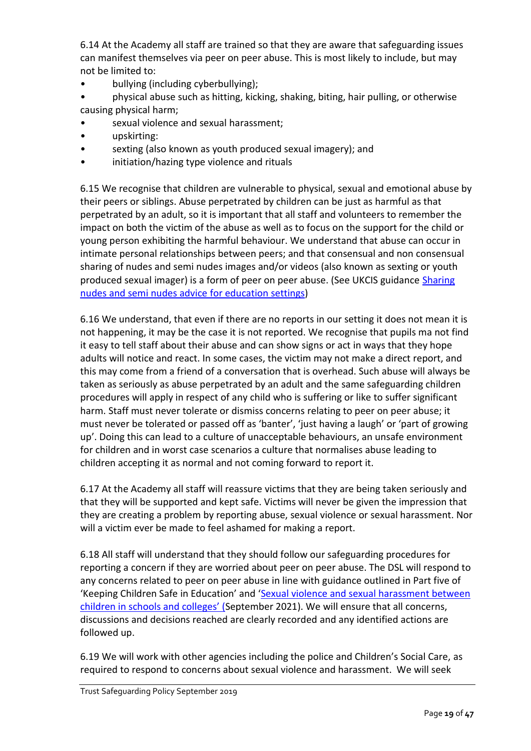6.14 At the Academy all staff are trained so that they are aware that safeguarding issues can manifest themselves via peer on peer abuse. This is most likely to include, but may not be limited to:

- bullying (including cyberbullying);
- physical abuse such as hitting, kicking, shaking, biting, hair pulling, or otherwise causing physical harm;
- sexual violence and sexual harassment;
- upskirting:
- sexting (also known as youth produced sexual imagery); and
- initiation/hazing type violence and rituals

6.15 We recognise that children are vulnerable to physical, sexual and emotional abuse by their peers or siblings. Abuse perpetrated by children can be just as harmful as that perpetrated by an adult, so it is important that all staff and volunteers to remember the impact on both the victim of the abuse as well as to focus on the support for the child or young person exhibiting the harmful behaviour. We understand that abuse can occur in intimate personal relationships between peers; and that consensual and non consensual sharing of nudes and semi nudes images and/or videos (also known as sexting or youth produced sexual imager) is a form of peer on peer abuse. (See UKCIS guidance [Sharing](https://www.gov.uk/government/publications/sharing-nudes-and-semi-nudes-advice-for-education-settings-working-with-children-and-young-people)  [nudes and semi nudes advice](https://www.gov.uk/government/publications/sharing-nudes-and-semi-nudes-advice-for-education-settings-working-with-children-and-young-people) for education settings)

6.16 We understand, that even if there are no reports in our setting it does not mean it is not happening, it may be the case it is not reported. We recognise that pupils ma not find it easy to tell staff about their abuse and can show signs or act in ways that they hope adults will notice and react. In some cases, the victim may not make a direct report, and this may come from a friend of a conversation that is overhead. Such abuse will always be taken as seriously as abuse perpetrated by an adult and the same safeguarding children procedures will apply in respect of any child who is suffering or like to suffer significant harm. Staff must never tolerate or dismiss concerns relating to peer on peer abuse; it must never be tolerated or passed off as 'banter', 'just having a laugh' or 'part of growing up'. Doing this can lead to a culture of unacceptable behaviours, an unsafe environment for children and in worst case scenarios a culture that normalises abuse leading to children accepting it as normal and not coming forward to report it.

6.17 At the Academy all staff will reassure victims that they are being taken seriously and that they will be supported and kept safe. Victims will never be given the impression that they are creating a problem by reporting abuse, sexual violence or sexual harassment. Nor will a victim ever be made to feel ashamed for making a report.

6.18 All staff will understand that they should follow our safeguarding procedures for reporting a concern if they are worried about peer on peer abuse. The DSL will respond to any concerns related to peer on peer abuse in line with guidance outlined in Part five of 'Keeping Children Safe in Education' and '[Sexual violence and sexual harassment between](https://assets.publishing.service.gov.uk/government/uploads/system/uploads/attachment_data/file/999239/SVSH_2021.pdf)  [children in schools and colleges' \(](https://assets.publishing.service.gov.uk/government/uploads/system/uploads/attachment_data/file/999239/SVSH_2021.pdf)September 2021). We will ensure that all concerns, discussions and decisions reached are clearly recorded and any identified actions are followed up.

6.19 We will work with other agencies including the police and Children's Social Care, as required to respond to concerns about sexual violence and harassment. We will seek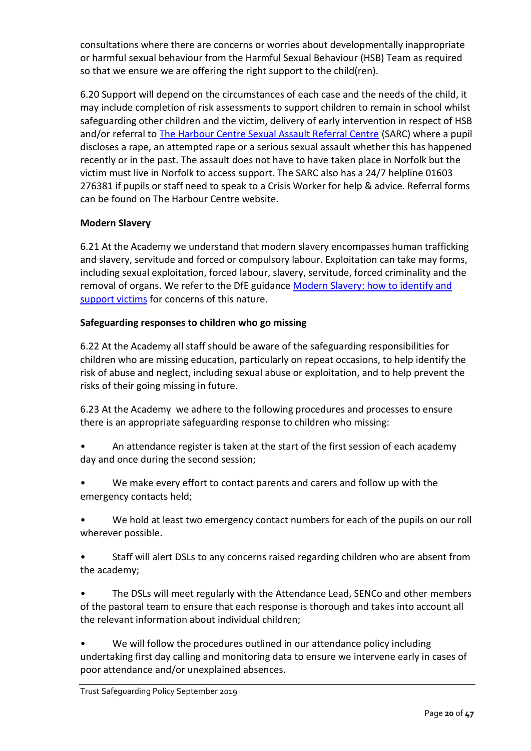consultations where there are concerns or worries about developmentally inappropriate or harmful sexual behaviour from the Harmful Sexual Behaviour (HSB) Team as required so that we ensure we are offering the right support to the child(ren).

6.20 Support will depend on the circumstances of each case and the needs of the child, it may include completion of risk assessments to support children to remain in school whilst safeguarding other children and the victim, delivery of early intervention in respect of HSB and/or referral to [The Harbour Centre Sexual Assault Referral Centre](http://www.theharbourcentre.co.uk/) (SARC) where a pupil discloses a rape, an attempted rape or a serious sexual assault whether this has happened recently or in the past. The assault does not have to have taken place in Norfolk but the victim must live in Norfolk to access support. The SARC also has a 24/7 helpline 01603 276381 if pupils or staff need to speak to a Crisis Worker for help & advice. Referral forms can be found on The Harbour Centre website.

#### **Modern Slavery**

6.21 At the Academy we understand that modern slavery encompasses human trafficking and slavery, servitude and forced or compulsory labour. Exploitation can take may forms, including sexual exploitation, forced labour, slavery, servitude, forced criminality and the removal of organs. We refer to the DfE guidance [Modern Slavery: how to identify and](https://www.gov.uk/government/publications/modern-slavery-how-to-identify-and-support-victims)  [support victims](https://www.gov.uk/government/publications/modern-slavery-how-to-identify-and-support-victims) for concerns of this nature.

#### **Safeguarding responses to children who go missing**

6.22 At the Academy all staff should be aware of the safeguarding responsibilities for children who are missing education, particularly on repeat occasions, to help identify the risk of abuse and neglect, including sexual abuse or exploitation, and to help prevent the risks of their going missing in future.

6.23 At the Academy we adhere to the following procedures and processes to ensure there is an appropriate safeguarding response to children who missing:

- An attendance register is taken at the start of the first session of each academy day and once during the second session;
- We make every effort to contact parents and carers and follow up with the emergency contacts held;
- We hold at least two emergency contact numbers for each of the pupils on our roll wherever possible.
- Staff will alert DSLs to any concerns raised regarding children who are absent from the academy;
- The DSLs will meet regularly with the Attendance Lead, SENCo and other members of the pastoral team to ensure that each response is thorough and takes into account all the relevant information about individual children;

We will follow the procedures outlined in our attendance policy including undertaking first day calling and monitoring data to ensure we intervene early in cases of poor attendance and/or unexplained absences.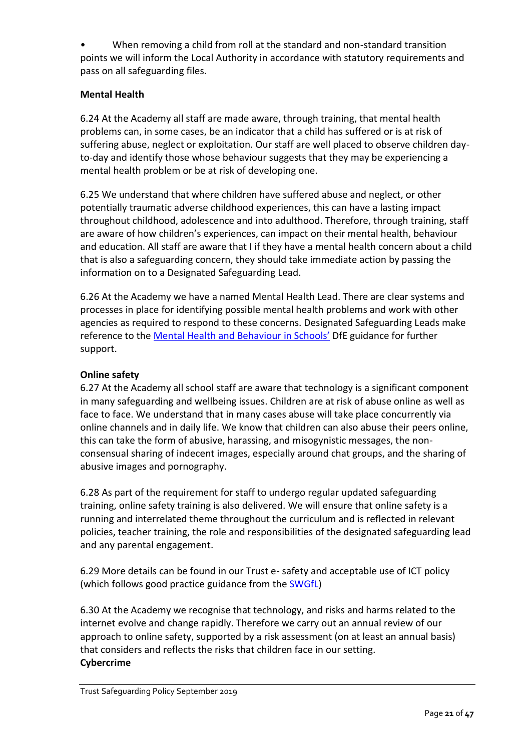• When removing a child from roll at the standard and non-standard transition points we will inform the Local Authority in accordance with statutory requirements and pass on all safeguarding files.

#### **Mental Health**

6.24 At the Academy all staff are made aware, through training, that mental health problems can, in some cases, be an indicator that a child has suffered or is at risk of suffering abuse, neglect or exploitation. Our staff are well placed to observe children dayto-day and identify those whose behaviour suggests that they may be experiencing a mental health problem or be at risk of developing one.

6.25 We understand that where children have suffered abuse and neglect, or other potentially traumatic adverse childhood experiences, this can have a lasting impact throughout childhood, adolescence and into adulthood. Therefore, through training, staff are aware of how children's experiences, can impact on their mental health, behaviour and education. All staff are aware that I if they have a mental health concern about a child that is also a safeguarding concern, they should take immediate action by passing the information on to a Designated Safeguarding Lead.

6.26 At the Academy we have a named Mental Health Lead. There are clear systems and processes in place for identifying possible mental health problems and work with other agencies as required to respond to these concerns. Designated Safeguarding Leads make reference to the [Mental Health and Behaviour in Schools'](https://www.gov.uk/government/publications/mental-health-and-behaviour-in-schools--2) DfE guidance for further support.

#### **Online safety**

6.27 At the Academy all school staff are aware that technology is a significant component in many safeguarding and wellbeing issues. Children are at risk of abuse online as well as face to face. We understand that in many cases abuse will take place concurrently via online channels and in daily life. We know that children can also abuse their peers online, this can take the form of abusive, harassing, and misogynistic messages, the nonconsensual sharing of indecent images, especially around chat groups, and the sharing of abusive images and pornography.

6.28 As part of the requirement for staff to undergo regular updated safeguarding training, online safety training is also delivered. We will ensure that online safety is a running and interrelated theme throughout the curriculum and is reflected in relevant policies, teacher training, the role and responsibilities of the designated safeguarding lead and any parental engagement.

6.29 More details can be found in our Trust e- safety and acceptable use of ICT policy (which follows good practice guidance from the **SWGfL**)

6.30 At the Academy we recognise that technology, and risks and harms related to the internet evolve and change rapidly. Therefore we carry out an annual review of our approach to online safety, supported by a risk assessment (on at least an annual basis) that considers and reflects the risks that children face in our setting. **Cybercrime**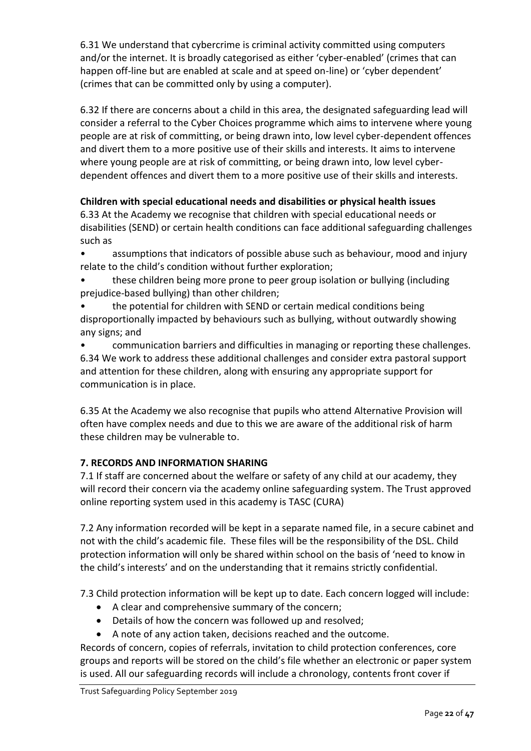6.31 We understand that cybercrime is criminal activity committed using computers and/or the internet. It is broadly categorised as either 'cyber-enabled' (crimes that can happen off-line but are enabled at scale and at speed on-line) or 'cyber dependent' (crimes that can be committed only by using a computer).

6.32 If there are concerns about a child in this area, the designated safeguarding lead will consider a referral to the Cyber Choices programme which aims to intervene where young people are at risk of committing, or being drawn into, low level cyber-dependent offences and divert them to a more positive use of their skills and interests. It aims to intervene where young people are at risk of committing, or being drawn into, low level cyberdependent offences and divert them to a more positive use of their skills and interests.

#### **Children with special educational needs and disabilities or physical health issues**

6.33 At the Academy we recognise that children with special educational needs or disabilities (SEND) or certain health conditions can face additional safeguarding challenges such as

- assumptions that indicators of possible abuse such as behaviour, mood and injury relate to the child's condition without further exploration;
- these children being more prone to peer group isolation or bullying (including prejudice-based bullying) than other children;
- the potential for children with SEND or certain medical conditions being disproportionally impacted by behaviours such as bullying, without outwardly showing any signs; and
- communication barriers and difficulties in managing or reporting these challenges. 6.34 We work to address these additional challenges and consider extra pastoral support and attention for these children, along with ensuring any appropriate support for communication is in place.

6.35 At the Academy we also recognise that pupils who attend Alternative Provision will often have complex needs and due to this we are aware of the additional risk of harm these children may be vulnerable to.

#### <span id="page-21-0"></span>**7. RECORDS AND INFORMATION SHARING**

7.1 If staff are concerned about the welfare or safety of any child at our academy, they will record their concern via the academy online safeguarding system. The Trust approved online reporting system used in this academy is TASC (CURA)

7.2 Any information recorded will be kept in a separate named file, in a secure cabinet and not with the child's academic file. These files will be the responsibility of the DSL. Child protection information will only be shared within school on the basis of 'need to know in the child's interests' and on the understanding that it remains strictly confidential.

7.3 Child protection information will be kept up to date. Each concern logged will include:

- A clear and comprehensive summary of the concern;
- Details of how the concern was followed up and resolved;
- A note of any action taken, decisions reached and the outcome.

Records of concern, copies of referrals, invitation to child protection conferences, core groups and reports will be stored on the child's file whether an electronic or paper system is used. All our safeguarding records will include a chronology, contents front cover if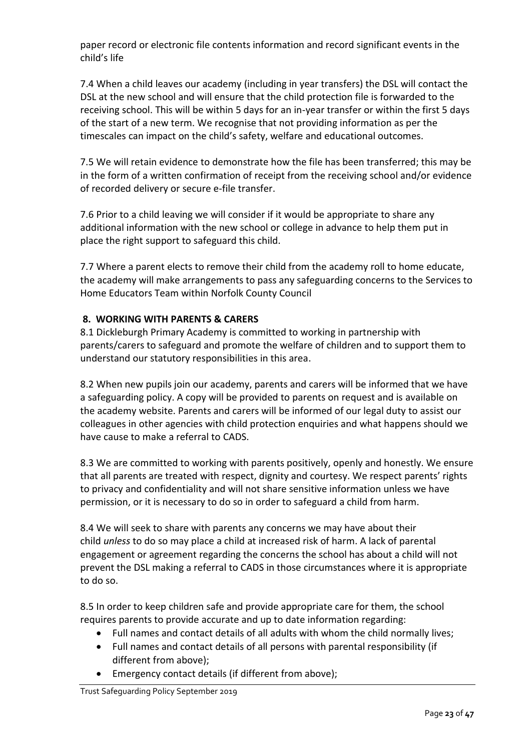paper record or electronic file contents information and record significant events in the child's life

7.4 When a child leaves our academy (including in year transfers) the DSL will contact the DSL at the new school and will ensure that the child protection file is forwarded to the receiving school. This will be within 5 days for an in-year transfer or within the first 5 days of the start of a new term. We recognise that not providing information as per the timescales can impact on the child's safety, welfare and educational outcomes.

7.5 We will retain evidence to demonstrate how the file has been transferred; this may be in the form of a written confirmation of receipt from the receiving school and/or evidence of recorded delivery or secure e-file transfer.

7.6 Prior to a child leaving we will consider if it would be appropriate to share any additional information with the new school or college in advance to help them put in place the right support to safeguard this child.

7.7 Where a parent elects to remove their child from the academy roll to home educate, the academy will make arrangements to pass any safeguarding concerns to the Services to Home Educators Team within Norfolk County Council

#### <span id="page-22-0"></span>**8. WORKING WITH PARENTS & CARERS**

8.1 Dickleburgh Primary Academy is committed to working in partnership with parents/carers to safeguard and promote the welfare of children and to support them to understand our statutory responsibilities in this area.

8.2 When new pupils join our academy, parents and carers will be informed that we have a safeguarding policy. A copy will be provided to parents on request and is available on the academy website. Parents and carers will be informed of our legal duty to assist our colleagues in other agencies with child protection enquiries and what happens should we have cause to make a referral to CADS.

8.3 We are committed to working with parents positively, openly and honestly. We ensure that all parents are treated with respect, dignity and courtesy. We respect parents' rights to privacy and confidentiality and will not share sensitive information unless we have permission, or it is necessary to do so in order to safeguard a child from harm.

8.4 We will seek to share with parents any concerns we may have about their child *unless* to do so may place a child at increased risk of harm. A lack of parental engagement or agreement regarding the concerns the school has about a child will not prevent the DSL making a referral to CADS in those circumstances where it is appropriate to do so.

8.5 In order to keep children safe and provide appropriate care for them, the school requires parents to provide accurate and up to date information regarding:

- Full names and contact details of all adults with whom the child normally lives;
- Full names and contact details of all persons with parental responsibility (if different from above);
- Emergency contact details (if different from above);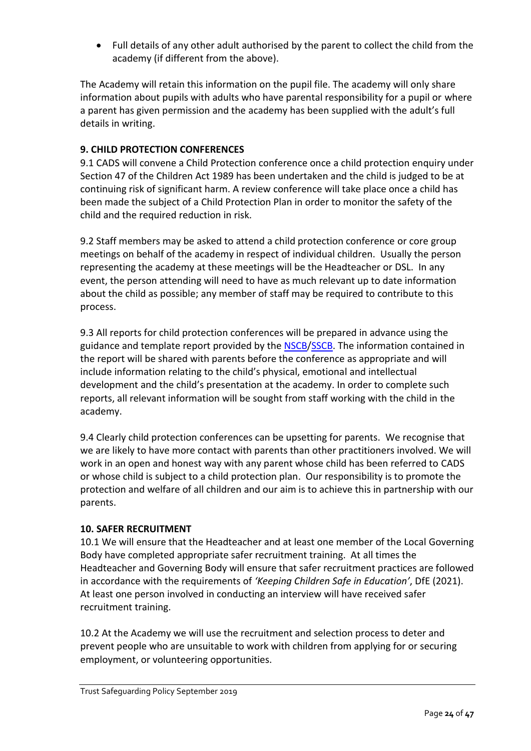• Full details of any other adult authorised by the parent to collect the child from the academy (if different from the above).

The Academy will retain this information on the pupil file. The academy will only share information about pupils with adults who have parental responsibility for a pupil or where a parent has given permission and the academy has been supplied with the adult's full details in writing.

#### <span id="page-23-0"></span>**9. CHILD PROTECTION CONFERENCES**

9.1 CADS will convene a Child Protection conference once a child protection enquiry under Section 47 of the Children Act 1989 has been undertaken and the child is judged to be at continuing risk of significant harm. A review conference will take place once a child has been made the subject of a Child Protection Plan in order to monitor the safety of the child and the required reduction in risk.

9.2 Staff members may be asked to attend a child protection conference or core group meetings on behalf of the academy in respect of individual children. Usually the person representing the academy at these meetings will be the Headteacher or DSL. In any event, the person attending will need to have as much relevant up to date information about the child as possible; any member of staff may be required to contribute to this process.

9.3 All reports for child protection conferences will be prepared in advance using the guidance and template report provided by the [NSCB/](https://www.norfolklscb.org/about/policies-procedures/3-6-initial-child-protection-conferences/)[SSCB.](http://www.suffolkscb.org.uk/working-with-children/child-protection-conferences/) The information contained in the report will be shared with parents before the conference as appropriate and will include information relating to the child's physical, emotional and intellectual development and the child's presentation at the academy. In order to complete such reports, all relevant information will be sought from staff working with the child in the academy.

9.4 Clearly child protection conferences can be upsetting for parents. We recognise that we are likely to have more contact with parents than other practitioners involved. We will work in an open and honest way with any parent whose child has been referred to CADS or whose child is subject to a child protection plan. Our responsibility is to promote the protection and welfare of all children and our aim is to achieve this in partnership with our parents.

#### <span id="page-23-1"></span>**10. SAFER RECRUITMENT**

10.1 We will ensure that the Headteacher and at least one member of the Local Governing Body have completed appropriate safer recruitment training. At all times the Headteacher and Governing Body will ensure that safer recruitment practices are followed in accordance with the requirements of *'Keeping Children Safe in Education'*, DfE (2021). At least one person involved in conducting an interview will have received safer recruitment training.

10.2 At the Academy we will use the recruitment and selection process to deter and prevent people who are unsuitable to work with children from applying for or securing employment, or volunteering opportunities.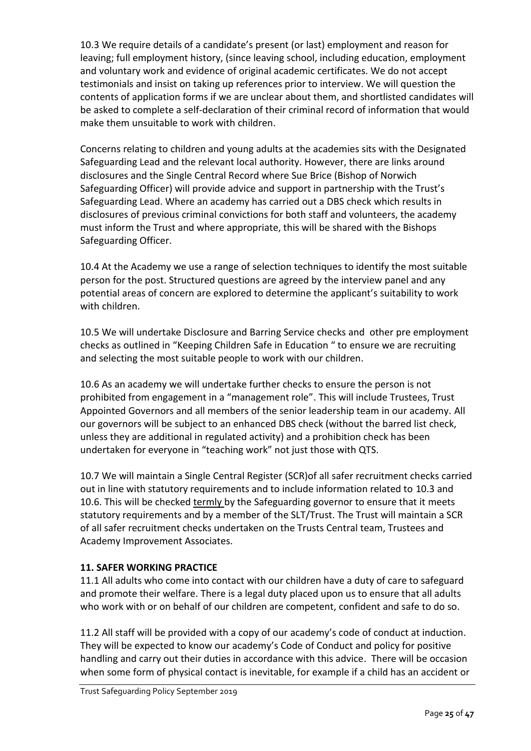10.3 We require details of a candidate's present (or last) employment and reason for leaving; full employment history, (since leaving school, including education, employment and voluntary work and evidence of original academic certificates. We do not accept testimonials and insist on taking up references prior to interview. We will question the contents of application forms if we are unclear about them, and shortlisted candidates will be asked to complete a self-declaration of their criminal record of information that would make them unsuitable to work with children.

Concerns relating to children and young adults at the academies sits with the Designated Safeguarding Lead and the relevant local authority. However, there are links around disclosures and the Single Central Record where Sue Brice (Bishop of Norwich Safeguarding Officer) will provide advice and support in partnership with the Trust's Safeguarding Lead. Where an academy has carried out a DBS check which results in disclosures of previous criminal convictions for both staff and volunteers, the academy must inform the Trust and where appropriate, this will be shared with the Bishops Safeguarding Officer.

10.4 At the Academy we use a range of selection techniques to identify the most suitable person for the post. Structured questions are agreed by the interview panel and any potential areas of concern are explored to determine the applicant's suitability to work with children.

10.5 We will undertake Disclosure and Barring Service checks and other pre employment checks as outlined in "Keeping Children Safe in Education " to ensure we are recruiting and selecting the most suitable people to work with our children.

10.6 As an academy we will undertake further checks to ensure the person is not prohibited from engagement in a "management role". This will include Trustees, Trust Appointed Governors and all members of the senior leadership team in our academy. All our governors will be subject to an enhanced DBS check (without the barred list check, unless they are additional in regulated activity) and a prohibition check has been undertaken for everyone in "teaching work" not just those with QTS.

10.7 We will maintain a Single Central Register (SCR)of all safer recruitment checks carried out in line with statutory requirements and to include information related to 10.3 and 10.6. This will be checked termly by the Safeguarding governor to ensure that it meets statutory requirements and by a member of the SLT/Trust. The Trust will maintain a SCR of all safer recruitment checks undertaken on the Trusts Central team, Trustees and Academy Improvement Associates.

#### <span id="page-24-0"></span>**11. SAFER WORKING PRACTICE**

11.1 All adults who come into contact with our children have a duty of care to safeguard and promote their welfare. There is a legal duty placed upon us to ensure that all adults who work with or on behalf of our children are competent, confident and safe to do so.

11.2 All staff will be provided with a copy of our academy's code of conduct at induction. They will be expected to know our academy's Code of Conduct and policy for positive handling and carry out their duties in accordance with this advice. There will be occasion when some form of physical contact is inevitable, for example if a child has an accident or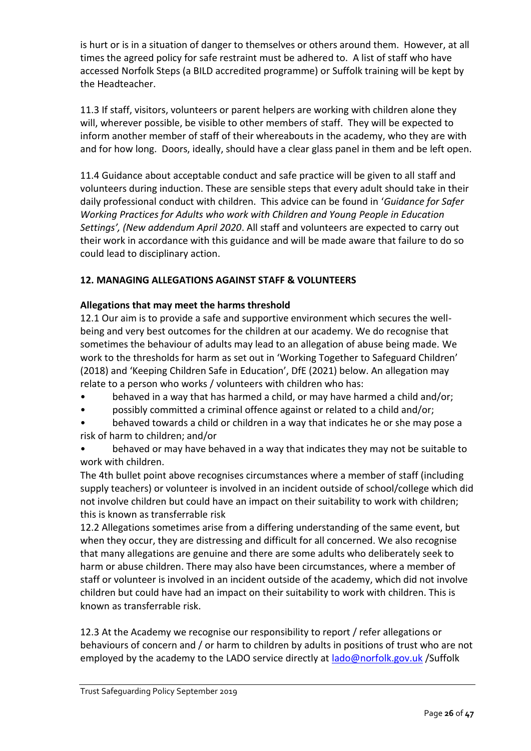is hurt or is in a situation of danger to themselves or others around them. However, at all times the agreed policy for safe restraint must be adhered to. A list of staff who have accessed Norfolk Steps (a BILD accredited programme) or Suffolk training will be kept by the Headteacher.

11.3 If staff, visitors, volunteers or parent helpers are working with children alone they will, wherever possible, be visible to other members of staff. They will be expected to inform another member of staff of their whereabouts in the academy, who they are with and for how long. Doors, ideally, should have a clear glass panel in them and be left open.

11.4 Guidance about acceptable conduct and safe practice will be given to all staff and volunteers during induction. These are sensible steps that every adult should take in their daily professional conduct with children. This advice can be found in '*Guidance for Safer Working Practices for Adults who work with Children and Young People in Education Settings', (New addendum April 2020*. All staff and volunteers are expected to carry out their work in accordance with this guidance and will be made aware that failure to do so could lead to disciplinary action.

#### <span id="page-25-0"></span>**12. MANAGING ALLEGATIONS AGAINST STAFF & VOLUNTEERS**

#### **Allegations that may meet the harms threshold**

12.1 Our aim is to provide a safe and supportive environment which secures the wellbeing and very best outcomes for the children at our academy. We do recognise that sometimes the behaviour of adults may lead to an allegation of abuse being made. We work to the thresholds for harm as set out in 'Working Together to Safeguard Children' (2018) and 'Keeping Children Safe in Education', DfE (2021) below. An allegation may relate to a person who works / volunteers with children who has:

- behaved in a way that has harmed a child, or may have harmed a child and/or;
- possibly committed a criminal offence against or related to a child and/or;
- behaved towards a child or children in a way that indicates he or she may pose a risk of harm to children; and/or
- behaved or may have behaved in a way that indicates they may not be suitable to work with children.

The 4th bullet point above recognises circumstances where a member of staff (including supply teachers) or volunteer is involved in an incident outside of school/college which did not involve children but could have an impact on their suitability to work with children; this is known as transferrable risk

12.2 Allegations sometimes arise from a differing understanding of the same event, but when they occur, they are distressing and difficult for all concerned. We also recognise that many allegations are genuine and there are some adults who deliberately seek to harm or abuse children. There may also have been circumstances, where a member of staff or volunteer is involved in an incident outside of the academy, which did not involve children but could have had an impact on their suitability to work with children. This is known as transferrable risk.

12.3 At the Academy we recognise our responsibility to report / refer allegations or behaviours of concern and / or harm to children by adults in positions of trust who are not employed by the academy to the LADO service directly at [lado@norfolk.gov.uk](mailto:lado@norfolk.gov.uk)/Suffolk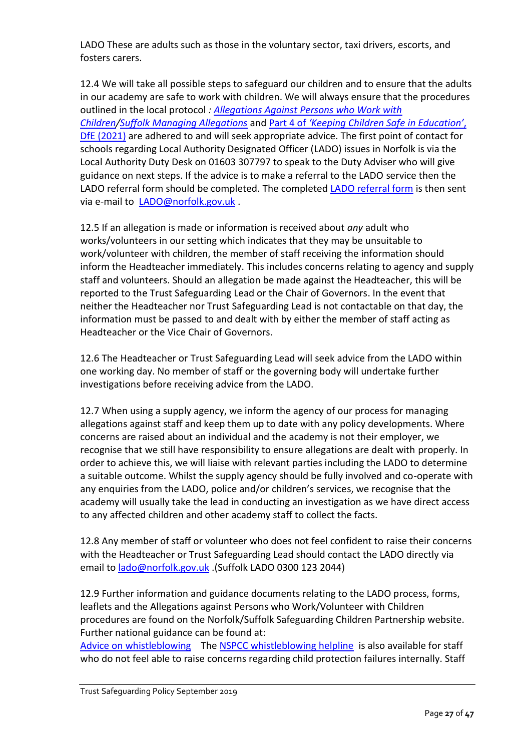LADO These are adults such as those in the voluntary sector, taxi drivers, escorts, and fosters carers.

12.4 We will take all possible steps to safeguard our children and to ensure that the adults in our academy are safe to work with children. We will always ensure that the procedures outlined in the local protocol *[: Allegations Against Persons who Work with](https://www.norfolklscb.org/about/policies-procedures/8-3-allegations-against-persons-who-work-with-children/)  [Children/](https://www.norfolklscb.org/about/policies-procedures/8-3-allegations-against-persons-who-work-with-children/)[Suffolk Managing Allegations](https://suffolksp.org.uk/assets/Working-with-Children-Adults/LADO/2019-12-10-Arrangements-for-Managing-Allegations-of-Abuse-v9.pdf)* and Part 4 of *['Keeping Children Safe in Education'](https://www.gov.uk/government/publications/keeping-children-safe-in-education--2)*, [DfE \(2021\)](https://www.gov.uk/government/publications/keeping-children-safe-in-education--2) are adhered to and will seek appropriate advice. The first point of contact for schools regarding Local Authority Designated Officer (LADO) issues in Norfolk is via the Local Authority Duty Desk on 01603 307797 to speak to the Duty Adviser who will give guidance on next steps. If the advice is to make a referral to the LADO service then the LADO referral form should be completed. The completed **LADO referral form** is then sent via e-mail to [LADO@norfolk.gov.uk](mailto:LADO@norfolk.gov.uk) .

12.5 If an allegation is made or information is received about *any* adult who works/volunteers in our setting which indicates that they may be unsuitable to work/volunteer with children, the member of staff receiving the information should inform the Headteacher immediately. This includes concerns relating to agency and supply staff and volunteers. Should an allegation be made against the Headteacher, this will be reported to the Trust Safeguarding Lead or the Chair of Governors. In the event that neither the Headteacher nor Trust Safeguarding Lead is not contactable on that day, the information must be passed to and dealt with by either the member of staff acting as Headteacher or the Vice Chair of Governors.

12.6 The Headteacher or Trust Safeguarding Lead will seek advice from the LADO within one working day. No member of staff or the governing body will undertake further investigations before receiving advice from the LADO.

12.7 When using a supply agency, we inform the agency of our process for managing allegations against staff and keep them up to date with any policy developments. Where concerns are raised about an individual and the academy is not their employer, we recognise that we still have responsibility to ensure allegations are dealt with properly. In order to achieve this, we will liaise with relevant parties including the LADO to determine a suitable outcome. Whilst the supply agency should be fully involved and co-operate with any enquiries from the LADO, police and/or children's services, we recognise that the academy will usually take the lead in conducting an investigation as we have direct access to any affected children and other academy staff to collect the facts.

12.8 Any member of staff or volunteer who does not feel confident to raise their concerns with the Headteacher or Trust Safeguarding Lead should contact the LADO directly via email to [lado@norfolk.gov.uk](mailto:lado@norfolk.gov.uk) .(Suffolk LADO 0300 123 2044)

12.9 Further information and guidance documents relating to the LADO process, forms, leaflets and the Allegations against Persons who Work/Volunteer with Children procedures are found on the Norfolk/Suffolk Safeguarding Children Partnership website. Further national guidance can be found at:

[Advice on whistleblowing](https://www.gov.uk/whistleblowing) The [NSPCC whistleblowing helpline](https://www.gov.uk/government/news/home-office-launches-child-abuse-whistleblowing-helpline) is also available for staff who do not feel able to raise concerns regarding child protection failures internally. Staff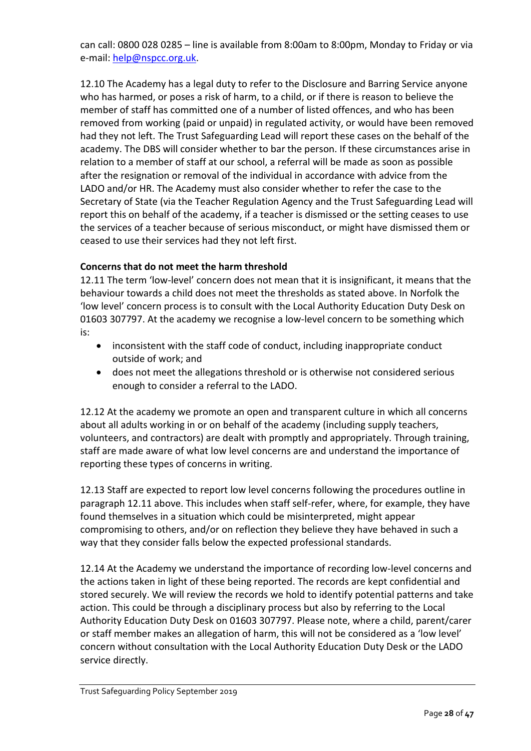can call: 0800 028 0285 – line is available from 8:00am to 8:00pm, Monday to Friday or via e-mail: [help@nspcc.org.uk.](mailto:help@nspcc.org.uk)

12.10 The Academy has a legal duty to refer to the Disclosure and Barring Service anyone who has harmed, or poses a risk of harm, to a child, or if there is reason to believe the member of staff has committed one of a number of listed offences, and who has been removed from working (paid or unpaid) in regulated activity, or would have been removed had they not left. The Trust Safeguarding Lead will report these cases on the behalf of the academy. The DBS will consider whether to bar the person. If these circumstances arise in relation to a member of staff at our school, a referral will be made as soon as possible after the resignation or removal of the individual in accordance with advice from the LADO and/or HR. The Academy must also consider whether to refer the case to the Secretary of State (via the Teacher Regulation Agency and the Trust Safeguarding Lead will report this on behalf of the academy, if a teacher is dismissed or the setting ceases to use the services of a teacher because of serious misconduct, or might have dismissed them or ceased to use their services had they not left first.

#### **Concerns that do not meet the harm threshold**

12.11 The term 'low-level' concern does not mean that it is insignificant, it means that the behaviour towards a child does not meet the thresholds as stated above. In Norfolk the 'low level' concern process is to consult with the Local Authority Education Duty Desk on 01603 307797. At the academy we recognise a low-level concern to be something which is:

- inconsistent with the staff code of conduct, including inappropriate conduct outside of work; and
- does not meet the allegations threshold or is otherwise not considered serious enough to consider a referral to the LADO.

12.12 At the academy we promote an open and transparent culture in which all concerns about all adults working in or on behalf of the academy (including supply teachers, volunteers, and contractors) are dealt with promptly and appropriately. Through training, staff are made aware of what low level concerns are and understand the importance of reporting these types of concerns in writing.

12.13 Staff are expected to report low level concerns following the procedures outline in paragraph 12.11 above. This includes when staff self-refer, where, for example, they have found themselves in a situation which could be misinterpreted, might appear compromising to others, and/or on reflection they believe they have behaved in such a way that they consider falls below the expected professional standards.

12.14 At the Academy we understand the importance of recording low-level concerns and the actions taken in light of these being reported. The records are kept confidential and stored securely. We will review the records we hold to identify potential patterns and take action. This could be through a disciplinary process but also by referring to the Local Authority Education Duty Desk on 01603 307797. Please note, where a child, parent/carer or staff member makes an allegation of harm, this will not be considered as a 'low level' concern without consultation with the Local Authority Education Duty Desk or the LADO service directly.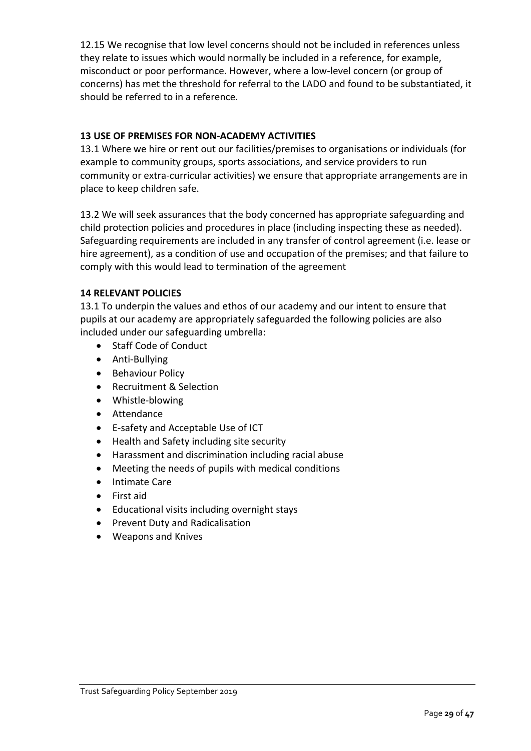12.15 We recognise that low level concerns should not be included in references unless they relate to issues which would normally be included in a reference, for example, misconduct or poor performance. However, where a low-level concern (or group of concerns) has met the threshold for referral to the LADO and found to be substantiated, it should be referred to in a reference.

#### <span id="page-28-0"></span>**13 USE OF PREMISES FOR NON-ACADEMY ACTIVITIES**

13.1 Where we hire or rent out our facilities/premises to organisations or individuals (for example to community groups, sports associations, and service providers to run community or extra-curricular activities) we ensure that appropriate arrangements are in place to keep children safe.

13.2 We will seek assurances that the body concerned has appropriate safeguarding and child protection policies and procedures in place (including inspecting these as needed). Safeguarding requirements are included in any transfer of control agreement (i.e. lease or hire agreement), as a condition of use and occupation of the premises; and that failure to comply with this would lead to termination of the agreement

#### <span id="page-28-1"></span>**14 RELEVANT POLICIES**

13.1 To underpin the values and ethos of our academy and our intent to ensure that pupils at our academy are appropriately safeguarded the following policies are also included under our safeguarding umbrella:

- Staff Code of Conduct
- Anti-Bullying
- Behaviour Policy
- Recruitment & Selection
- Whistle-blowing
- Attendance
- E-safety and Acceptable Use of ICT
- Health and Safety including site security
- Harassment and discrimination including racial abuse
- Meeting the needs of pupils with medical conditions
- Intimate Care
- First aid
- Educational visits including overnight stays
- Prevent Duty and Radicalisation
- Weapons and Knives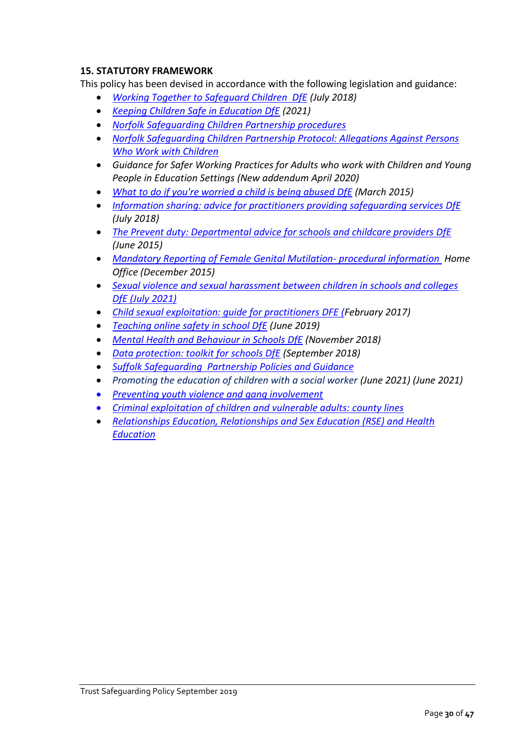#### <span id="page-29-0"></span>**15. STATUTORY FRAMEWORK**

This policy has been devised in accordance with the following legislation and guidance:

- *[Working Together to Safeguard Children DfE](https://www.gov.uk/government/publications/working-together-to-safeguard-children--2) (July 2018)*
- *[Keeping Children Safe in Education DfE](https://www.gov.uk/government/publications/keeping-children-safe-in-education--2) (2021)*
- *[Norfolk Safeguarding Children Partnership procedures](https://www.norfolklscb.org/about/policies-procedures/policies-and-procedures/)*
- *[Norfolk Safeguarding Children Partnership Protocol: Allegations Against Persons](https://www.norfolklscb.org/about/policies-procedures/8-3-allegations-against-persons-who-work-with-children/)  [Who Work with Children](https://www.norfolklscb.org/about/policies-procedures/8-3-allegations-against-persons-who-work-with-children/)*
- *Guidance for Safer Working Practices for Adults who work with Children and Young People in Education Settings (New addendum April 2020)*
- *[What to do if you're worried a child is being abused DfE](https://assets.publishing.service.gov.uk/government/uploads/system/uploads/attachment_data/file/419604/What_to_do_if_you_re_worried_a_child_is_being_abused.pdf) (March 2015)*
- *[Information sharing: advice for practitioners providing safeguarding services DfE](https://assets.publishing.service.gov.uk/government/uploads/system/uploads/attachment_data/file/721581/Information_sharing_advice_practitioners_safeguarding_services.pdf) (July 2018)*
- *[The Prevent duty: Departmental advice for schools and childcare providers DfE](https://assets.publishing.service.gov.uk/government/uploads/system/uploads/attachment_data/file/439598/prevent-duty-departmental-advice-v6.pdf) (June 2015)*
- *[Mandatory Reporting of Female Genital Mutilation-](https://www.gov.uk/government/publications/mandatory-reporting-of-female-genital-mutilation-procedural-information) procedural information Home Office (December 2015)*
- *[Sexual violence and sexual harassment between children in schools and colleges](https://assets.publishing.service.gov.uk/government/uploads/system/uploads/attachment_data/file/719902/Sexual_violence_and_sexual_harassment_between_children_in_schools_and_colleges.pdf)  [DfE \(July 2021\)](https://assets.publishing.service.gov.uk/government/uploads/system/uploads/attachment_data/file/719902/Sexual_violence_and_sexual_harassment_between_children_in_schools_and_colleges.pdf)*
- *[Child sexual exploitation: guide for practitioners DFE \(F](https://www.gov.uk/government/publications/child-sexual-exploitation-definition-and-guide-for-practitioners)ebruary 2017)*
- *[Teaching online safety in school DfE](https://www.gov.uk/government/publications/teaching-online-safety-in-schools) (June 2019)*
- *[Mental Health and Behaviour in Schools DfE](https://www.gov.uk/government/publications/mental-health-and-behaviour-in-schools--2) (November 2018)*
- *[Data protection: toolkit for schools DfE](https://www.gov.uk/government/publications/data-protection-toolkit-for-schools) (September 2018)*
- *[Suffolk Safeguarding Partnership Policies and Guidance](https://suffolksp.org.uk/)*
- *[Promoting the education of children with a social worker](https://www.gov.uk/government/publications/virtual-school-head-role-extension-to-children-with-a-social-worker) (June 2021) (June 2021)*
- *[Preventing youth violence and gang involvement](https://www.gov.uk/government/publications/advice-to-schools-and-colleges-on-gangs-and-youth-violence)*
- *[Criminal exploitation of children and vulnerable adults:](https://www.gov.uk/government/publications/criminal-exploitation-of-children-and-vulnerable-adults-county-lines) county lines*
- *[Relationships Education, Relationships and Sex Education \(RSE\) and Health](https://assets.publishing.service.gov.uk/government/uploads/system/uploads/attachment_data/file/908013/Relationships_Education__Relationships_and_Sex_Education__RSE__and_Health_Education.pdf)  [Education](https://assets.publishing.service.gov.uk/government/uploads/system/uploads/attachment_data/file/908013/Relationships_Education__Relationships_and_Sex_Education__RSE__and_Health_Education.pdf)*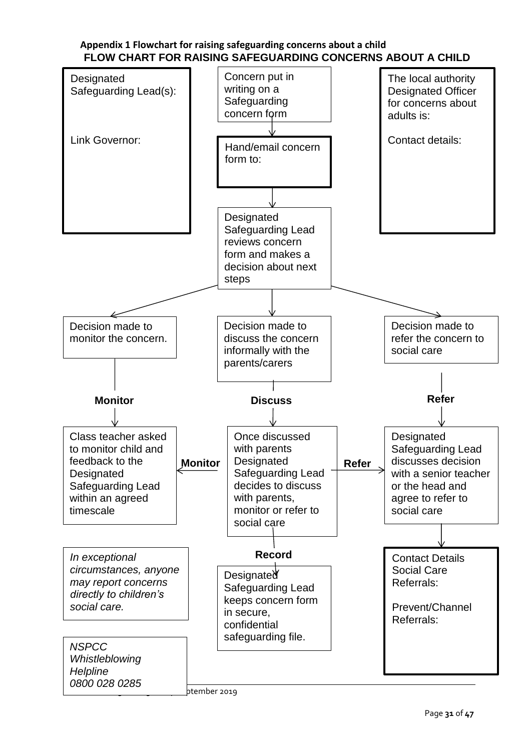#### <span id="page-30-0"></span>**Appendix 1 Flowchart for raising safeguarding concerns about a child FLOW CHART FOR RAISING SAFEGUARDING CONCERNS ABOUT A CHILD**

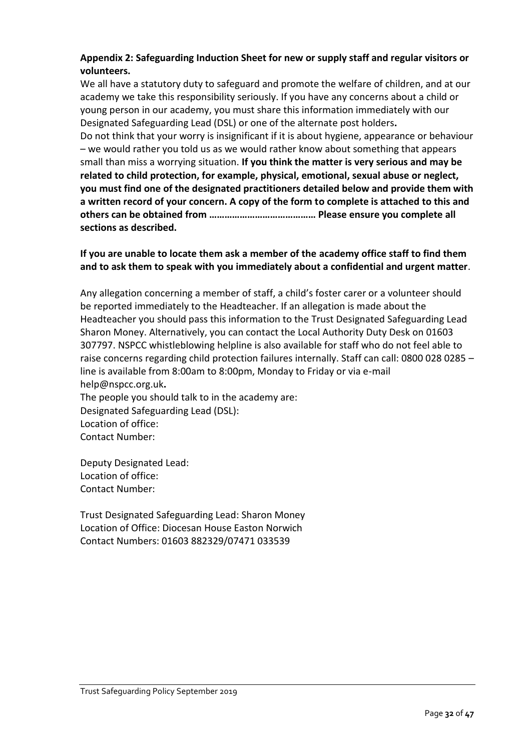#### <span id="page-31-0"></span>**Appendix 2: Safeguarding Induction Sheet for new or supply staff and regular visitors or volunteers.**

We all have a statutory duty to safeguard and promote the welfare of children, and at our academy we take this responsibility seriously. If you have any concerns about a child or young person in our academy, you must share this information immediately with our Designated Safeguarding Lead (DSL) or one of the alternate post holders**.** 

Do not think that your worry is insignificant if it is about hygiene, appearance or behaviour – we would rather you told us as we would rather know about something that appears small than miss a worrying situation. **If you think the matter is very serious and may be related to child protection, for example, physical, emotional, sexual abuse or neglect, you must find one of the designated practitioners detailed below and provide them with a written record of your concern. A copy of the form to complete is attached to this and others can be obtained from …………………………………… Please ensure you complete all sections as described.**

#### **If you are unable to locate them ask a member of the academy office staff to find them and to ask them to speak with you immediately about a confidential and urgent matter**.

Any allegation concerning a member of staff, a child's foster carer or a volunteer should be reported immediately to the Headteacher. If an allegation is made about the Headteacher you should pass this information to the Trust Designated Safeguarding Lead Sharon Money. Alternatively, you can contact the Local Authority Duty Desk on 01603 307797. NSPCC whistleblowing helpline is also available for staff who do not feel able to raise concerns regarding child protection failures internally. Staff can call: 0800 028 0285 – line is available from 8:00am to 8:00pm, Monday to Friday or via e-mail help@nspcc.org.uk**.**

The people you should talk to in the academy are: Designated Safeguarding Lead (DSL): Location of office: Contact Number:

Deputy Designated Lead: Location of office: Contact Number:

Trust Designated Safeguarding Lead: Sharon Money Location of Office: Diocesan House Easton Norwich Contact Numbers: 01603 882329/07471 033539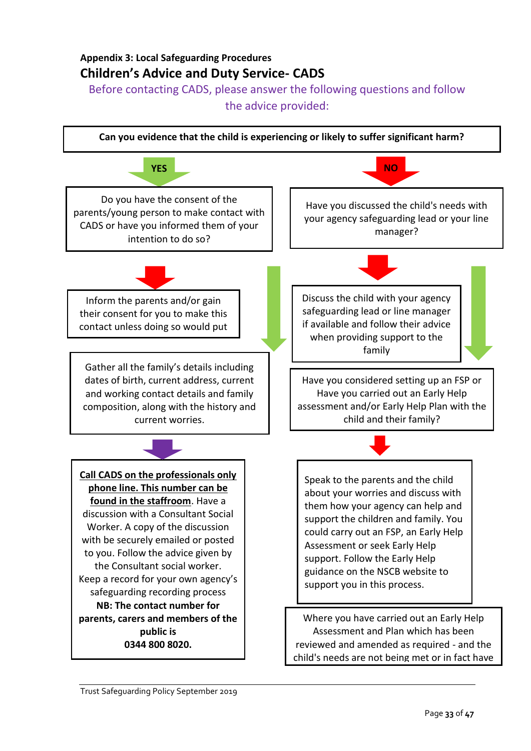#### <span id="page-32-0"></span>**Appendix 3: Local Safeguarding Procedures Children's Advice and Duty Service- CADS**

Before contacting CADS, please answer the following questions and follow the advice provided:



in this form and then contact CADS.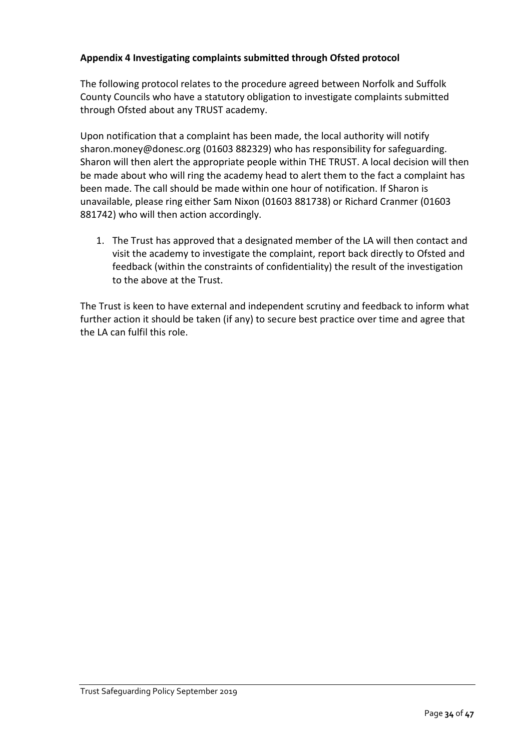#### <span id="page-33-0"></span>**Appendix 4 Investigating complaints submitted through Ofsted protocol**

The following protocol relates to the procedure agreed between Norfolk and Suffolk County Councils who have a statutory obligation to investigate complaints submitted through Ofsted about any TRUST academy.

Upon notification that a complaint has been made, the local authority will notify sharon.money@donesc.org (01603 882329) who has responsibility for safeguarding. Sharon will then alert the appropriate people within THE TRUST. A local decision will then be made about who will ring the academy head to alert them to the fact a complaint has been made. The call should be made within one hour of notification. If Sharon is unavailable, please ring either Sam Nixon (01603 881738) or Richard Cranmer (01603 881742) who will then action accordingly.

1. The Trust has approved that a designated member of the LA will then contact and visit the academy to investigate the complaint, report back directly to Ofsted and feedback (within the constraints of confidentiality) the result of the investigation to the above at the Trust.

The Trust is keen to have external and independent scrutiny and feedback to inform what further action it should be taken (if any) to secure best practice over time and agree that the LA can fulfil this role.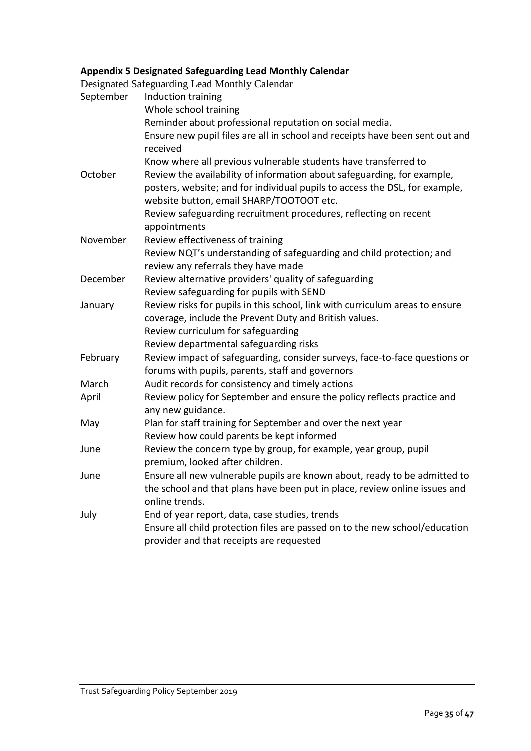#### <span id="page-34-0"></span>**Appendix 5 Designated Safeguarding Lead Monthly Calendar**

Designated Safeguarding Lead Monthly Calendar

| September | Induction training                                                                                                                                                                                 |
|-----------|----------------------------------------------------------------------------------------------------------------------------------------------------------------------------------------------------|
|           | Whole school training                                                                                                                                                                              |
|           | Reminder about professional reputation on social media.                                                                                                                                            |
|           | Ensure new pupil files are all in school and receipts have been sent out and<br>received                                                                                                           |
|           | Know where all previous vulnerable students have transferred to                                                                                                                                    |
| October   | Review the availability of information about safeguarding, for example,<br>posters, website; and for individual pupils to access the DSL, for example,<br>website button, email SHARP/TOOTOOT etc. |
|           |                                                                                                                                                                                                    |
|           | Review safeguarding recruitment procedures, reflecting on recent<br>appointments                                                                                                                   |
| November  | Review effectiveness of training                                                                                                                                                                   |
|           | Review NQT's understanding of safeguarding and child protection; and<br>review any referrals they have made                                                                                        |
| December  | Review alternative providers' quality of safeguarding                                                                                                                                              |
|           | Review safeguarding for pupils with SEND                                                                                                                                                           |
| January   | Review risks for pupils in this school, link with curriculum areas to ensure                                                                                                                       |
|           | coverage, include the Prevent Duty and British values.                                                                                                                                             |
|           | Review curriculum for safeguarding                                                                                                                                                                 |
|           | Review departmental safeguarding risks                                                                                                                                                             |
| February  | Review impact of safeguarding, consider surveys, face-to-face questions or<br>forums with pupils, parents, staff and governors                                                                     |
| March     | Audit records for consistency and timely actions                                                                                                                                                   |
| April     | Review policy for September and ensure the policy reflects practice and<br>any new guidance.                                                                                                       |
| May       | Plan for staff training for September and over the next year                                                                                                                                       |
|           | Review how could parents be kept informed                                                                                                                                                          |
| June      | Review the concern type by group, for example, year group, pupil<br>premium, looked after children.                                                                                                |
| June      | Ensure all new vulnerable pupils are known about, ready to be admitted to                                                                                                                          |
|           | the school and that plans have been put in place, review online issues and<br>online trends.                                                                                                       |
| July      | End of year report, data, case studies, trends                                                                                                                                                     |
|           | Ensure all child protection files are passed on to the new school/education<br>provider and that receipts are requested                                                                            |
|           |                                                                                                                                                                                                    |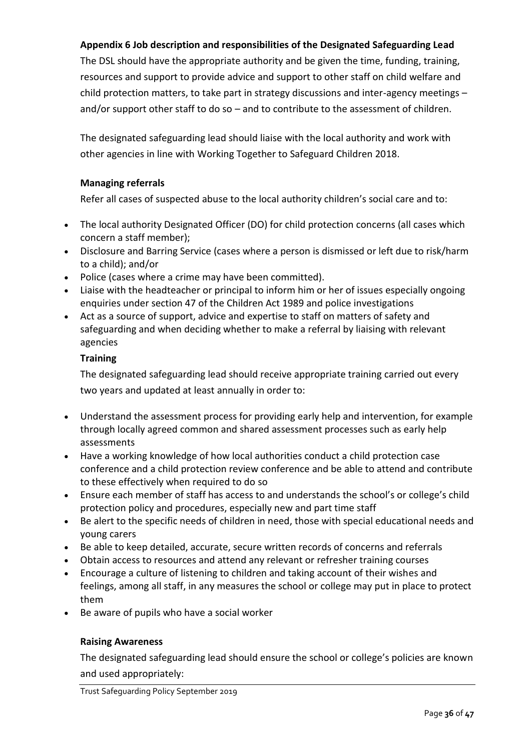#### <span id="page-35-0"></span>**Appendix 6 Job description and responsibilities of the Designated Safeguarding Lead**

The DSL should have the appropriate authority and be given the time, funding, training, resources and support to provide advice and support to other staff on child welfare and child protection matters, to take part in strategy discussions and inter-agency meetings – and/or support other staff to do so – and to contribute to the assessment of children.

The designated safeguarding lead should liaise with the local authority and work with other agencies in line with Working Together to Safeguard Children 2018.

#### **Managing referrals**

Refer all cases of suspected abuse to the local authority children's social care and to:

- The local authority Designated Officer (DO) for child protection concerns (all cases which concern a staff member);
- Disclosure and Barring Service (cases where a person is dismissed or left due to risk/harm to a child); and/or
- Police (cases where a crime may have been committed).
- Liaise with the headteacher or principal to inform him or her of issues especially ongoing enquiries under section 47 of the Children Act 1989 and police investigations
- Act as a source of support, advice and expertise to staff on matters of safety and safeguarding and when deciding whether to make a referral by liaising with relevant agencies

#### **Training**

The designated safeguarding lead should receive appropriate training carried out every two years and updated at least annually in order to:

- Understand the assessment process for providing early help and intervention, for example through locally agreed common and shared assessment processes such as early help assessments
- Have a working knowledge of how local authorities conduct a child protection case conference and a child protection review conference and be able to attend and contribute to these effectively when required to do so
- Ensure each member of staff has access to and understands the school's or college's child protection policy and procedures, especially new and part time staff
- Be alert to the specific needs of children in need, those with special educational needs and young carers
- Be able to keep detailed, accurate, secure written records of concerns and referrals
- Obtain access to resources and attend any relevant or refresher training courses
- Encourage a culture of listening to children and taking account of their wishes and feelings, among all staff, in any measures the school or college may put in place to protect them
- Be aware of pupils who have a social worker

#### **Raising Awareness**

The designated safeguarding lead should ensure the school or college's policies are known and used appropriately: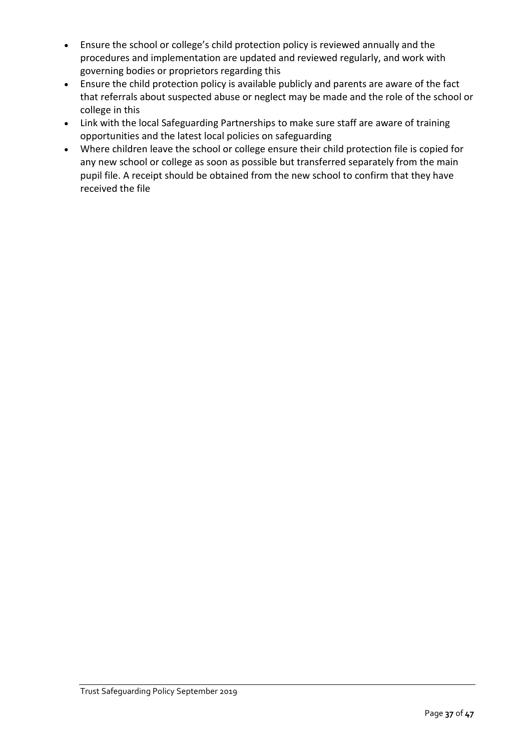- Ensure the school or college's child protection policy is reviewed annually and the procedures and implementation are updated and reviewed regularly, and work with governing bodies or proprietors regarding this
- Ensure the child protection policy is available publicly and parents are aware of the fact that referrals about suspected abuse or neglect may be made and the role of the school or college in this
- Link with the local Safeguarding Partnerships to make sure staff are aware of training opportunities and the latest local policies on safeguarding
- Where children leave the school or college ensure their child protection file is copied for any new school or college as soon as possible but transferred separately from the main pupil file. A receipt should be obtained from the new school to confirm that they have received the file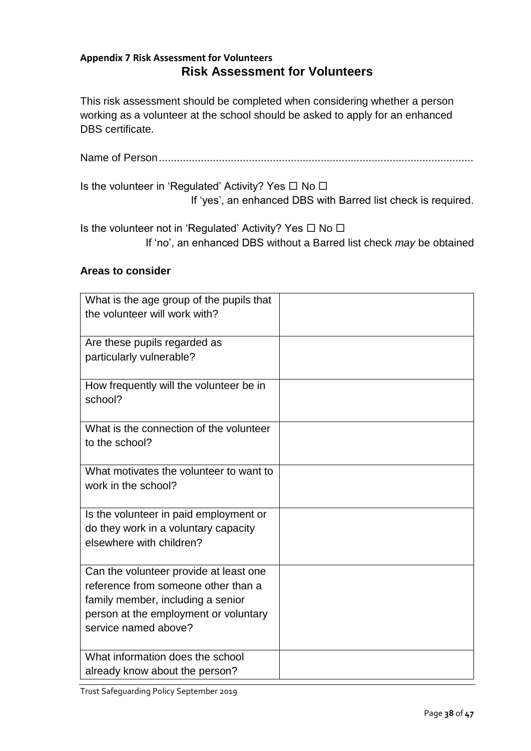#### <span id="page-37-0"></span>**Appendix 7 Risk Assessment for Volunteers Risk Assessment for Volunteers**

This risk assessment should be completed when considering whether a person working as a volunteer at the school should be asked to apply for an enhanced DBS certificate.

Name of Person.........................................................................................................

Is the volunteer in 'Regulated' Activity? Yes  $\Box$  No  $\Box$ If 'yes', an enhanced DBS with Barred list check is required.

Is the volunteer not in 'Regulated' Activity? Yes  $\Box$  No  $\Box$ If 'no', an enhanced DBS without a Barred list check *may* be obtained

#### **Areas to consider**

| What is the age group of the pupils that<br>the volunteer will work with?                                                                                                           |  |
|-------------------------------------------------------------------------------------------------------------------------------------------------------------------------------------|--|
| Are these pupils regarded as<br>particularly vulnerable?                                                                                                                            |  |
| How frequently will the volunteer be in<br>school?                                                                                                                                  |  |
| What is the connection of the volunteer<br>to the school?                                                                                                                           |  |
| What motivates the volunteer to want to<br>work in the school?                                                                                                                      |  |
| Is the volunteer in paid employment or<br>do they work in a voluntary capacity<br>elsewhere with children?                                                                          |  |
| Can the volunteer provide at least one<br>reference from someone other than a<br>family member, including a senior<br>person at the employment or voluntary<br>service named above? |  |
| What information does the school<br>already know about the person?                                                                                                                  |  |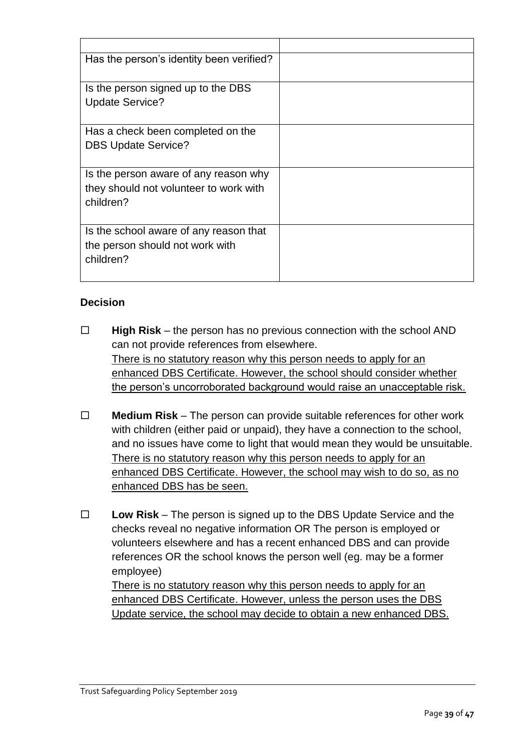| Has the person's identity been verified?                                                     |  |
|----------------------------------------------------------------------------------------------|--|
| Is the person signed up to the DBS<br><b>Update Service?</b>                                 |  |
| Has a check been completed on the<br><b>DBS Update Service?</b>                              |  |
| Is the person aware of any reason why<br>they should not volunteer to work with<br>children? |  |
| Is the school aware of any reason that<br>the person should not work with<br>children?       |  |

#### **Decision**

- $\Box$  **High Risk** the person has no previous connection with the school AND can not provide references from elsewhere. There is no statutory reason why this person needs to apply for an enhanced DBS Certificate. However, the school should consider whether the person's uncorroborated background would raise an unacceptable risk.
- **Medium Risk** The person can provide suitable references for other work with children (either paid or unpaid), they have a connection to the school, and no issues have come to light that would mean they would be unsuitable. There is no statutory reason why this person needs to apply for an enhanced DBS Certificate. However, the school may wish to do so, as no enhanced DBS has be seen.
- **Low Risk** The person is signed up to the DBS Update Service and the checks reveal no negative information OR The person is employed or volunteers elsewhere and has a recent enhanced DBS and can provide references OR the school knows the person well (eg. may be a former employee)

There is no statutory reason why this person needs to apply for an enhanced DBS Certificate. However, unless the person uses the DBS Update service, the school may decide to obtain a new enhanced DBS.

Trust Safeguarding Policy September 2019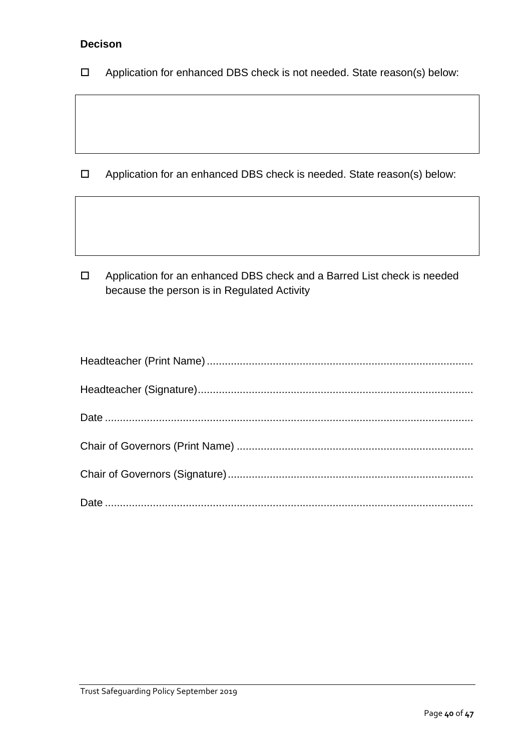#### **Decison**

Application for enhanced DBS check is not needed. State reason(s) below:

Application for an enhanced DBS check is needed. State reason(s) below:

 Application for an enhanced DBS check and a Barred List check is needed because the person is in Regulated Activity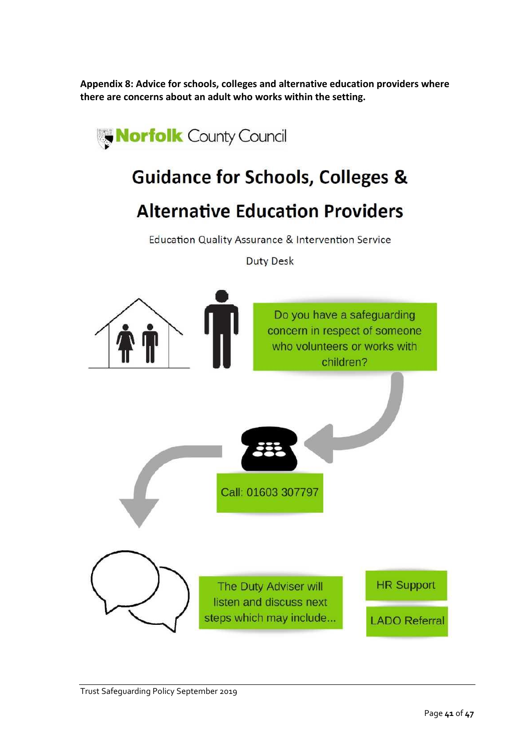<span id="page-40-0"></span>**Appendix 8: Advice for schools, colleges and alternative education providers where there are concerns about an adult who works within the setting.**

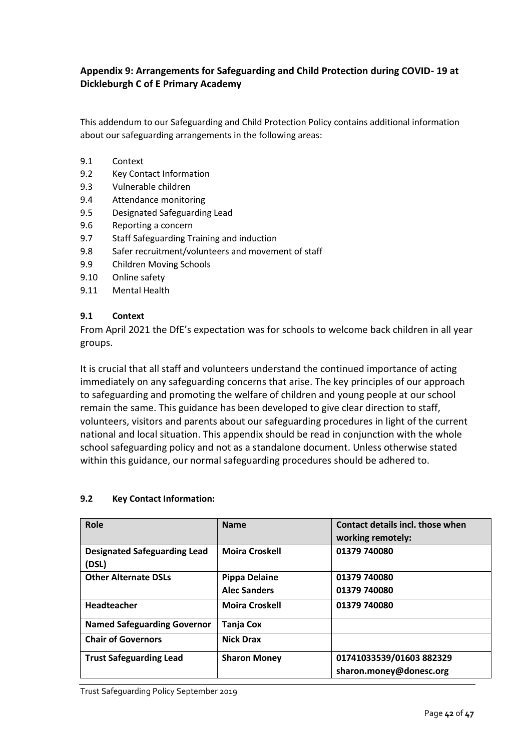#### <span id="page-41-0"></span>**Appendix 9: Arrangements for Safeguarding and Child Protection during COVID- 19 at Dickleburgh C of E Primary Academy**

This addendum to our Safeguarding and Child Protection Policy contains additional information about our safeguarding arrangements in the following areas:

- 9.1 Context
- 9.2 Key Contact Information
- 9.3 Vulnerable children
- 9.4 Attendance monitoring
- 9.5 Designated Safeguarding Lead
- 9.6 Reporting a concern
- 9.7 Staff Safeguarding Training and induction
- 9.8 Safer recruitment/volunteers and movement of staff
- 9.9 Children Moving Schools
- 9.10 Online safety
- 9.11 Mental Health

#### **9.1 Context**

From April 2021 the DfE's expectation was for schools to welcome back children in all year groups.

It is crucial that all staff and volunteers understand the continued importance of acting immediately on any safeguarding concerns that arise. The key principles of our approach to safeguarding and promoting the welfare of children and young people at our school remain the same. This guidance has been developed to give clear direction to staff, volunteers, visitors and parents about our safeguarding procedures in light of the current national and local situation. This appendix should be read in conjunction with the whole school safeguarding policy and not as a standalone document. Unless otherwise stated within this guidance, our normal safeguarding procedures should be adhered to.

| Role                                | <b>Name</b>           | Contact details incl. those when |
|-------------------------------------|-----------------------|----------------------------------|
|                                     |                       | working remotely:                |
| <b>Designated Safeguarding Lead</b> | <b>Moira Croskell</b> | 01379 740080                     |
| (DSL)                               |                       |                                  |
| <b>Other Alternate DSLs</b>         | <b>Pippa Delaine</b>  | 01379 740080                     |
|                                     | <b>Alec Sanders</b>   | 01379 740080                     |
| Headteacher                         | <b>Moira Croskell</b> | 01379 740080                     |
| <b>Named Safeguarding Governor</b>  | <b>Tanja Cox</b>      |                                  |
| <b>Chair of Governors</b>           | <b>Nick Drax</b>      |                                  |
| <b>Trust Safeguarding Lead</b>      | <b>Sharon Money</b>   | 01741033539/01603 882329         |
|                                     |                       | sharon.money@donesc.org          |

#### **9.2 Key Contact Information:**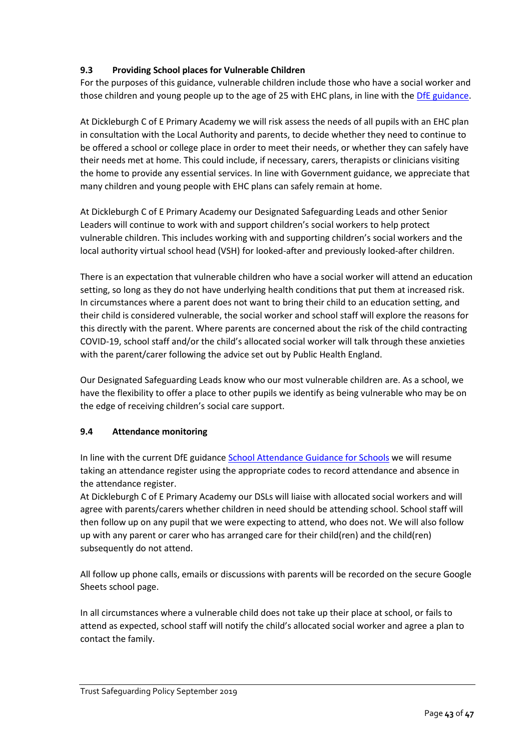#### **9.3 Providing School places for Vulnerable Children**

For the purposes of this guidance, vulnerable children include those who have a social worker and those children and young people up to the age of 25 with EHC plans, in line with the [DfE guidance.](https://www.gov.uk/government/publications/coronavirus-covid-19-guidance-on-vulnerable-children-and-young-people/coronavirus-covid-19-guidance-on-vulnerable-children-and-young-people)

At Dickleburgh C of E Primary Academy we will risk assess the needs of all pupils with an EHC plan in consultation with the Local Authority and parents, to decide whether they need to continue to be offered a school or college place in order to meet their needs, or whether they can safely have their needs met at home. This could include, if necessary, carers, therapists or clinicians visiting the home to provide any essential services. In line with Government guidance, we appreciate that many children and young people with EHC plans can safely remain at home.

At Dickleburgh C of E Primary Academy our Designated Safeguarding Leads and other Senior Leaders will continue to work with and support children's social workers to help protect vulnerable children. This includes working with and supporting children's social workers and the local authority virtual school head (VSH) for looked-after and previously looked-after children.

There is an expectation that vulnerable children who have a social worker will attend an education setting, so long as they do not have underlying health conditions that put them at increased risk. In circumstances where a parent does not want to bring their child to an education setting, and their child is considered vulnerable, the social worker and school staff will explore the reasons for this directly with the parent. Where parents are concerned about the risk of the child contracting COVID-19, school staff and/or the child's allocated social worker will talk through these anxieties with the parent/carer following the advice set out by Public Health England.

Our Designated Safeguarding Leads know who our most vulnerable children are. As a school, we have the flexibility to offer a place to other pupils we identify as being vulnerable who may be on the edge of receiving children's social care support.

#### **9.4 Attendance monitoring**

In line with the current DfE guidance [School Attendance Guidance for Schools](https://www.gov.uk/government/publications/school-attendance) we will resume taking an attendance register using the appropriate codes to record attendance and absence in the attendance register.

At Dickleburgh C of E Primary Academy our DSLs will liaise with allocated social workers and will agree with parents/carers whether children in need should be attending school. School staff will then follow up on any pupil that we were expecting to attend, who does not. We will also follow up with any parent or carer who has arranged care for their child(ren) and the child(ren) subsequently do not attend.

All follow up phone calls, emails or discussions with parents will be recorded on the secure Google Sheets school page.

In all circumstances where a vulnerable child does not take up their place at school, or fails to attend as expected, school staff will notify the child's allocated social worker and agree a plan to contact the family.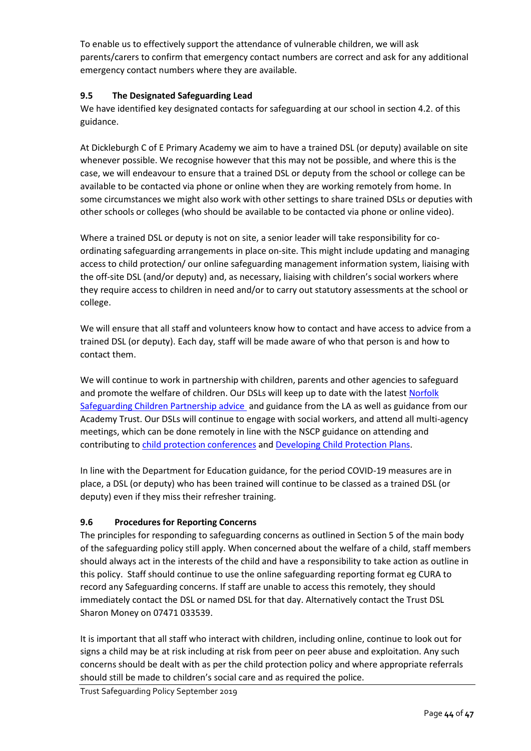To enable us to effectively support the attendance of vulnerable children, we will ask parents/carers to confirm that emergency contact numbers are correct and ask for any additional emergency contact numbers where they are available.

#### **9.5 The Designated Safeguarding Lead**

We have identified key designated contacts for safeguarding at our school in section 4.2. of this guidance.

At Dickleburgh C of E Primary Academy we aim to have a trained DSL (or deputy) available on site whenever possible. We recognise however that this may not be possible, and where this is the case, we will endeavour to ensure that a trained DSL or deputy from the school or college can be available to be contacted via phone or online when they are working remotely from home. In some circumstances we might also work with other settings to share trained DSLs or deputies with other schools or colleges (who should be available to be contacted via phone or online video).

Where a trained DSL or deputy is not on site, a senior leader will take responsibility for coordinating safeguarding arrangements in place on-site. This might include updating and managing access to child protection/ our online safeguarding management information system, liaising with the off-site DSL (and/or deputy) and, as necessary, liaising with children's social workers where they require access to children in need and/or to carry out statutory assessments at the school or college.

We will ensure that all staff and volunteers know how to contact and have access to advice from a trained DSL (or deputy). Each day, staff will be made aware of who that person is and how to contact them.

We will continue to work in partnership with children, parents and other agencies to safeguard and promote the welfare of children. Our DSLs will keep up to date with the latest Norfolk [Safeguarding Children Partnership advice](https://www.norfolklscb.org/people-working-with-children/covid-19-update/) and guidance from the LA as well as guidance from our Academy Trust. Our DSLs will continue to engage with social workers, and attend all multi-agency meetings, which can be done remotely in line with the NSCP guidance on attending and contributing t[o child protection conferences](https://www.norfolklscb.org/wp-content/uploads/2020/03/Covid19-temporary-quick-guide-CP-Conferences.docx) and [Developing Child Protection Plans.](https://www.norfolklscb.org/wp-content/uploads/2020/03/Developing-CP-Plans-V3.docx)

In line with the Department for Education guidance, for the period COVID-19 measures are in place, a DSL (or deputy) who has been trained will continue to be classed as a trained DSL (or deputy) even if they miss their refresher training.

#### **9.6 Procedures for Reporting Concerns**

The principles for responding to safeguarding concerns as outlined in Section 5 of the main body of the safeguarding policy still apply. When concerned about the welfare of a child, staff members should always act in the interests of the child and have a responsibility to take action as outline in this policy. Staff should continue to use the online safeguarding reporting format eg CURA to record any Safeguarding concerns. If staff are unable to access this remotely, they should immediately contact the DSL or named DSL for that day. Alternatively contact the Trust DSL Sharon Money on 07471 033539.

It is important that all staff who interact with children, including online, continue to look out for signs a child may be at risk including at risk from peer on peer abuse and exploitation. Any such concerns should be dealt with as per the child protection policy and where appropriate referrals should still be made to children's social care and as required the police.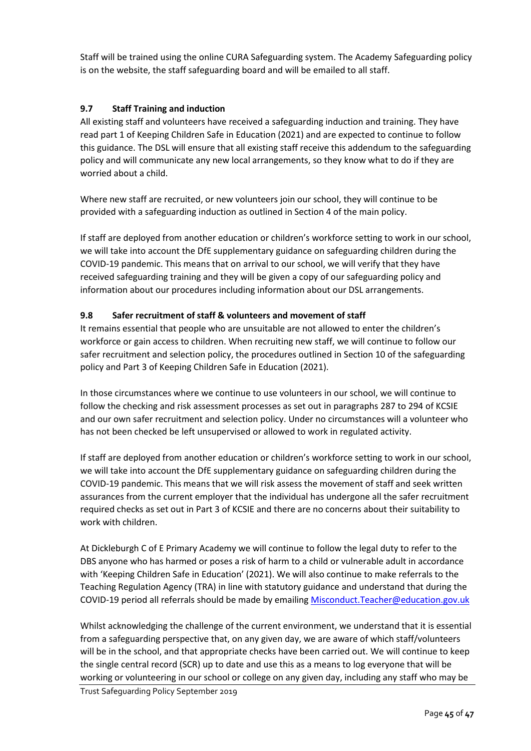Staff will be trained using the online CURA Safeguarding system. The Academy Safeguarding policy is on the website, the staff safeguarding board and will be emailed to all staff.

#### **9.7 Staff Training and induction**

All existing staff and volunteers have received a safeguarding induction and training. They have read part 1 of Keeping Children Safe in Education (2021) and are expected to continue to follow this guidance. The DSL will ensure that all existing staff receive this addendum to the safeguarding policy and will communicate any new local arrangements, so they know what to do if they are worried about a child.

Where new staff are recruited, or new volunteers join our school, they will continue to be provided with a safeguarding induction as outlined in Section 4 of the main policy.

If staff are deployed from another education or children's workforce setting to work in our school, we will take into account the DfE supplementary guidance on safeguarding children during the COVID-19 pandemic. This means that on arrival to our school, we will verify that they have received safeguarding training and they will be given a copy of our safeguarding policy and information about our procedures including information about our DSL arrangements.

#### **9.8 Safer recruitment of staff & volunteers and movement of staff**

It remains essential that people who are unsuitable are not allowed to enter the children's workforce or gain access to children. When recruiting new staff, we will continue to follow our safer recruitment and selection policy, the procedures outlined in Section 10 of the safeguarding policy and Part 3 of Keeping Children Safe in Education (2021).

In those circumstances where we continue to use volunteers in our school, we will continue to follow the checking and risk assessment processes as set out in paragraphs 287 to 294 of KCSIE and our own safer recruitment and selection policy. Under no circumstances will a volunteer who has not been checked be left unsupervised or allowed to work in regulated activity.

If staff are deployed from another education or children's workforce setting to work in our school, we will take into account the DfE supplementary guidance on safeguarding children during the COVID-19 pandemic. This means that we will risk assess the movement of staff and seek written assurances from the current employer that the individual has undergone all the safer recruitment required checks as set out in Part 3 of KCSIE and there are no concerns about their suitability to work with children.

At Dickleburgh C of E Primary Academy we will continue to follow the legal duty to refer to the DBS anyone who has harmed or poses a risk of harm to a child or vulnerable adult in accordance with 'Keeping Children Safe in Education' (2021). We will also continue to make referrals to the Teaching Regulation Agency (TRA) in line with statutory guidance and understand that during the COVID-19 period all referrals should be made by emailin[g Misconduct.Teacher@education.gov.uk](mailto:Misconduct.Teacher@education.gov.uk)

Whilst acknowledging the challenge of the current environment, we understand that it is essential from a safeguarding perspective that, on any given day, we are aware of which staff/volunteers will be in the school, and that appropriate checks have been carried out. We will continue to keep the single central record (SCR) up to date and use this as a means to log everyone that will be working or volunteering in our school or college on any given day, including any staff who may be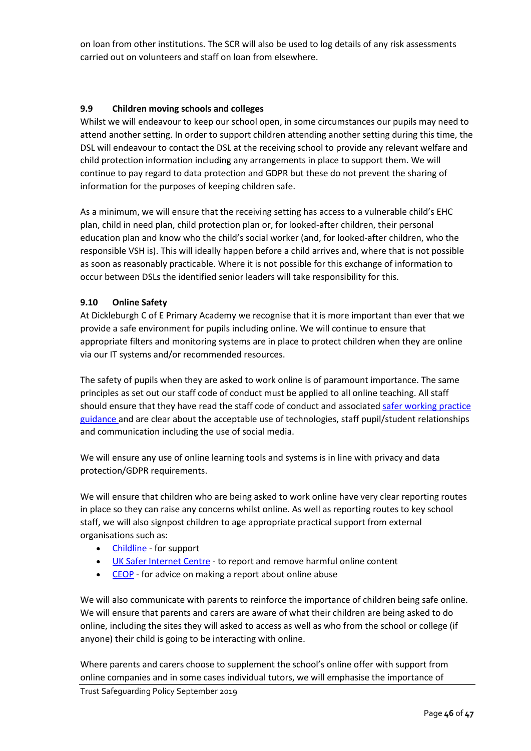on loan from other institutions. The SCR will also be used to log details of any risk assessments carried out on volunteers and staff on loan from elsewhere.

#### **9.9 Children moving schools and colleges**

Whilst we will endeavour to keep our school open, in some circumstances our pupils may need to attend another setting. In order to support children attending another setting during this time, the DSL will endeavour to contact the DSL at the receiving school to provide any relevant welfare and child protection information including any arrangements in place to support them. We will continue to pay regard to data protection and GDPR but these do not prevent the sharing of information for the purposes of keeping children safe.

As a minimum, we will ensure that the receiving setting has access to a vulnerable child's EHC plan, child in need plan, child protection plan or, for looked-after children, their personal education plan and know who the child's social worker (and, for looked-after children, who the responsible VSH is). This will ideally happen before a child arrives and, where that is not possible as soon as reasonably practicable. Where it is not possible for this exchange of information to occur between DSLs the identified senior leaders will take responsibility for this.

#### **9.10 Online Safety**

At Dickleburgh C of E Primary Academy we recognise that it is more important than ever that we provide a safe environment for pupils including online. We will continue to ensure that appropriate filters and monitoring systems are in place to protect children when they are online via our IT systems and/or recommended resources.

The safety of pupils when they are asked to work online is of paramount importance. The same principles as set out our staff code of conduct must be applied to all online teaching. All staff should ensure that they have read the staff code of conduct and associated [safer working practice](https://www.saferrecruitmentconsortium.org/)  [guidance](https://www.saferrecruitmentconsortium.org/) and are clear about the acceptable use of technologies, staff pupil/student relationships and communication including the use of social media.

We will ensure any use of online learning tools and systems is in line with privacy and data protection/GDPR requirements.

We will ensure that children who are being asked to work online have very clear reporting routes in place so they can raise any concerns whilst online. As well as reporting routes to key school staff, we will also signpost children to age appropriate practical support from external organisations such as:

- [Childline](https://www.childline.org.uk/?utm_source=google&utm_medium=cpc&utm_campaign=UK_GO_S_B_BND_Grant_Childline_Information&utm_term=role_of_childline&gclsrc=aw.ds&&gclid=EAIaIQobChMIlfLRh-ez6AIVRrDtCh1N9QR2EAAYASAAEgLc-vD_BwE&gclsrc=aw.ds) for support
- UK [Safer Internet Centre](https://reportharmfulcontent.com/) to report and remove harmful online content
- [CEOP](https://www.ceop.police.uk/safety-centre/) for advice on making a report about online abuse

We will also communicate with parents to reinforce the importance of children being safe online. We will ensure that parents and carers are aware of what their children are being asked to do online, including the sites they will asked to access as well as who from the school or college (if anyone) their child is going to be interacting with online.

Where parents and carers choose to supplement the school's online offer with support from online companies and in some cases individual tutors, we will emphasise the importance of